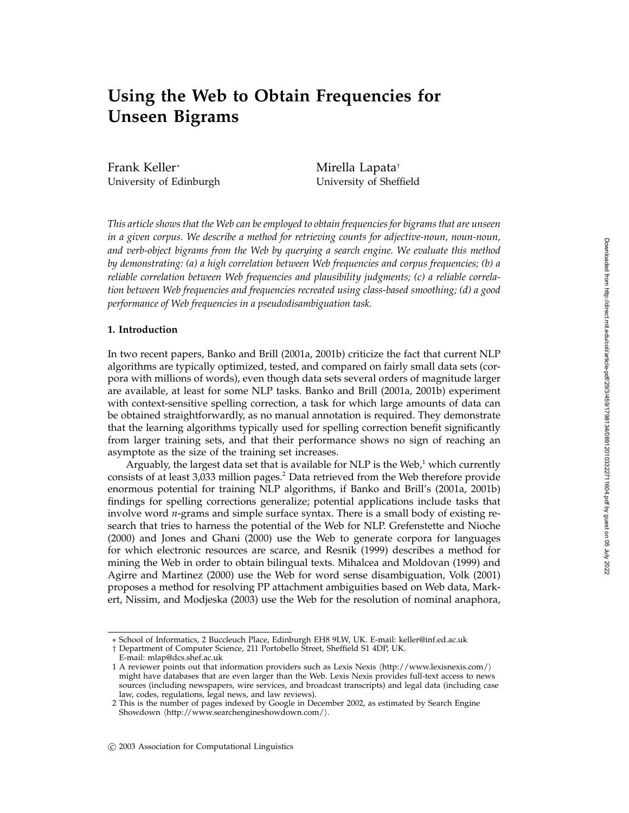# **Using the Web to Obtain Frequencies for Unseen Bigrams**

Frank Keller<sup>∗</sup> Mirella Lapata<sup>†</sup> University of Edinburgh University of Sheffield

*This article shows that the Web can be employed to obtain frequencies for bigrams that are unseen in a given corpus. We describe a method for retrieving counts for adjective-noun, noun-noun, and verb-object bigrams from the Web by querying a search engine. We evaluate this method by demonstrating: (a) a high correlation between Web frequencies and corpus frequencies; (b) a reliable correlation between Web frequencies and plausibility judgments; (c) a reliable correlation between Web frequencies and frequencies recreated using class-based smoothing; (d) a good performance of Web frequencies in a pseudodisambiguation task.*

# **1. Introduction**

In two recent papers, Banko and Brill (2001a, 2001b) criticize the fact that current NLP algorithms are typically optimized, tested, and compared on fairly small data sets (corpora with millions of words), even though data sets several orders of magnitude larger are available, at least for some NLP tasks. Banko and Brill (2001a, 2001b) experiment with context-sensitive spelling correction, a task for which large amounts of data can be obtained straightforwardly, as no manual annotation is required. They demonstrate that the learning algorithms typically used for spelling correction benefit significantly from larger training sets, and that their performance shows no sign of reaching an asymptote as the size of the training set increases.

Arguably, the largest data set that is available for NLP is the Web, $<sup>1</sup>$  which currently</sup> consists of at least 3,033 million pages.<sup>2</sup> Data retrieved from the Web therefore provide enormous potential for training NLP algorithms, if Banko and Brill's (2001a, 2001b) findings for spelling corrections generalize; potential applications include tasks that involve word *n*-grams and simple surface syntax. There is a small body of existing research that tries to harness the potential of the Web for NLP. Grefenstette and Nioche (2000) and Jones and Ghani (2000) use the Web to generate corpora for languages for which electronic resources are scarce, and Resnik (1999) describes a method for mining the Web in order to obtain bilingual texts. Mihalcea and Moldovan (1999) and Agirre and Martinez (2000) use the Web for word sense disambiguation, Volk (2001) proposes a method for resolving PP attachment ambiguities based on Web data, Markert, Nissim, and Modjeska (2003) use the Web for the resolution of nominal anaphora,

<sup>∗</sup> School of Informatics, 2 Buccleuch Place, Edinburgh EH8 9LW, UK. E-mail: keller@inf.ed.ac.uk † Department of Computer Science, 211 Portobello Street, Sheffield S1 4DP, UK.

E-mail: mlap@dcs.shef.ac.uk

<sup>1</sup> A reviewer points out that information providers such as Lexis Nexis http://www.lexisnexis.com/ might have databases that are even larger than the Web. Lexis Nexis provides full-text access to news sources (including newspapers, wire services, and broadcast transcripts) and legal data (including case law, codes, regulations, legal news, and law reviews).

<sup>2</sup> This is the number of pages indexed by Google in December 2002, as estimated by Search Engine Showdown  $\langle$ http://www.searchengineshowdown.com/ $\rangle$ .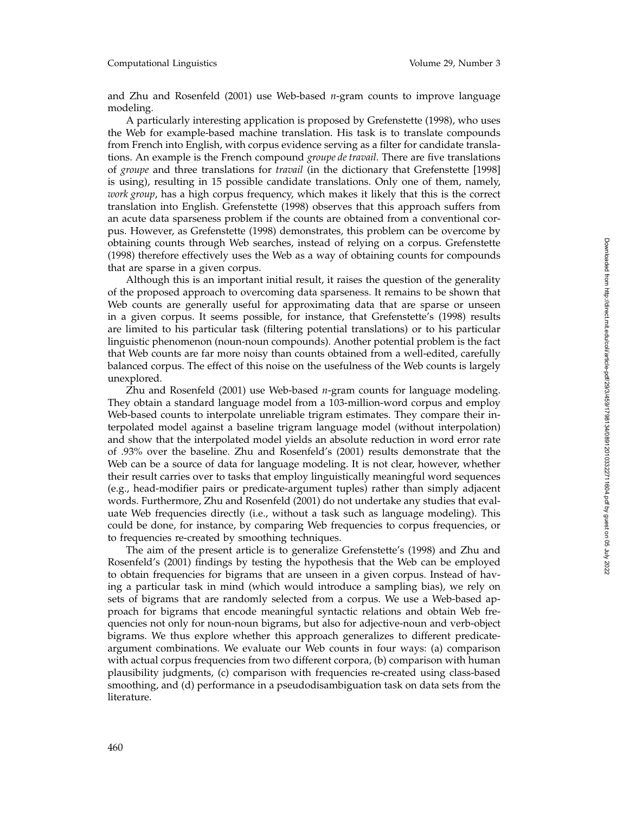and Zhu and Rosenfeld (2001) use Web-based *n*-gram counts to improve language modeling.

A particularly interesting application is proposed by Grefenstette (1998), who uses the Web for example-based machine translation. His task is to translate compounds from French into English, with corpus evidence serving as a filter for candidate translations. An example is the French compound *groupe de travail*. There are five translations of *groupe* and three translations for *travail* (in the dictionary that Grefenstette [1998] is using), resulting in 15 possible candidate translations. Only one of them, namely, *work group*, has a high corpus frequency, which makes it likely that this is the correct translation into English. Grefenstette (1998) observes that this approach suffers from an acute data sparseness problem if the counts are obtained from a conventional corpus. However, as Grefenstette (1998) demonstrates, this problem can be overcome by obtaining counts through Web searches, instead of relying on a corpus. Grefenstette (1998) therefore effectively uses the Web as a way of obtaining counts for compounds that are sparse in a given corpus.

Although this is an important initial result, it raises the question of the generality of the proposed approach to overcoming data sparseness. It remains to be shown that Web counts are generally useful for approximating data that are sparse or unseen in a given corpus. It seems possible, for instance, that Grefenstette's (1998) results are limited to his particular task (filtering potential translations) or to his particular linguistic phenomenon (noun-noun compounds). Another potential problem is the fact that Web counts are far more noisy than counts obtained from a well-edited, carefully balanced corpus. The effect of this noise on the usefulness of the Web counts is largely unexplored.

Zhu and Rosenfeld (2001) use Web-based *n*-gram counts for language modeling. They obtain a standard language model from a 103-million-word corpus and employ Web-based counts to interpolate unreliable trigram estimates. They compare their interpolated model against a baseline trigram language model (without interpolation) and show that the interpolated model yields an absolute reduction in word error rate of .93% over the baseline. Zhu and Rosenfeld's (2001) results demonstrate that the Web can be a source of data for language modeling. It is not clear, however, whether their result carries over to tasks that employ linguistically meaningful word sequences (e.g., head-modifier pairs or predicate-argument tuples) rather than simply adjacent words. Furthermore, Zhu and Rosenfeld (2001) do not undertake any studies that evaluate Web frequencies directly (i.e., without a task such as language modeling). This could be done, for instance, by comparing Web frequencies to corpus frequencies, or to frequencies re-created by smoothing techniques.

The aim of the present article is to generalize Grefenstette's (1998) and Zhu and Rosenfeld's (2001) findings by testing the hypothesis that the Web can be employed to obtain frequencies for bigrams that are unseen in a given corpus. Instead of having a particular task in mind (which would introduce a sampling bias), we rely on sets of bigrams that are randomly selected from a corpus. We use a Web-based approach for bigrams that encode meaningful syntactic relations and obtain Web frequencies not only for noun-noun bigrams, but also for adjective-noun and verb-object bigrams. We thus explore whether this approach generalizes to different predicateargument combinations. We evaluate our Web counts in four ways: (a) comparison with actual corpus frequencies from two different corpora, (b) comparison with human plausibility judgments, (c) comparison with frequencies re-created using class-based smoothing, and (d) performance in a pseudodisambiguation task on data sets from the literature.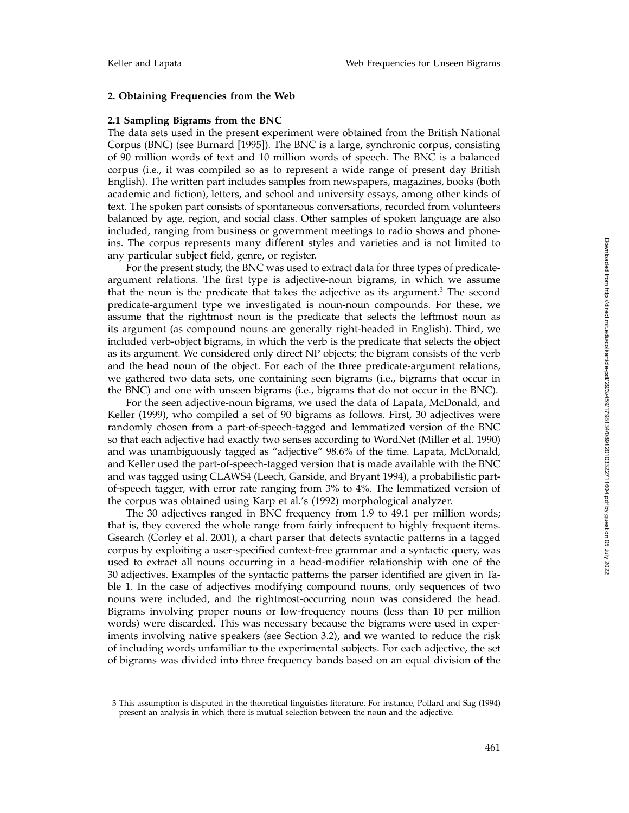# **2. Obtaining Frequencies from the Web**

## **2.1 Sampling Bigrams from the BNC**

The data sets used in the present experiment were obtained from the British National Corpus (BNC) (see Burnard [1995]). The BNC is a large, synchronic corpus, consisting of 90 million words of text and 10 million words of speech. The BNC is a balanced corpus (i.e., it was compiled so as to represent a wide range of present day British English). The written part includes samples from newspapers, magazines, books (both academic and fiction), letters, and school and university essays, among other kinds of text. The spoken part consists of spontaneous conversations, recorded from volunteers balanced by age, region, and social class. Other samples of spoken language are also included, ranging from business or government meetings to radio shows and phoneins. The corpus represents many different styles and varieties and is not limited to any particular subject field, genre, or register.

For the present study, the BNC was used to extract data for three types of predicateargument relations. The first type is adjective-noun bigrams, in which we assume that the noun is the predicate that takes the adjective as its argument.<sup>3</sup> The second predicate-argument type we investigated is noun-noun compounds. For these, we assume that the rightmost noun is the predicate that selects the leftmost noun as its argument (as compound nouns are generally right-headed in English). Third, we included verb-object bigrams, in which the verb is the predicate that selects the object as its argument. We considered only direct NP objects; the bigram consists of the verb and the head noun of the object. For each of the three predicate-argument relations, we gathered two data sets, one containing seen bigrams (i.e., bigrams that occur in the BNC) and one with unseen bigrams (i.e., bigrams that do not occur in the BNC).

For the seen adjective-noun bigrams, we used the data of Lapata, McDonald, and Keller (1999), who compiled a set of 90 bigrams as follows. First, 30 adjectives were randomly chosen from a part-of-speech-tagged and lemmatized version of the BNC so that each adjective had exactly two senses according to WordNet (Miller et al. 1990) and was unambiguously tagged as "adjective" 98.6% of the time. Lapata, McDonald, and Keller used the part-of-speech-tagged version that is made available with the BNC and was tagged using CLAWS4 (Leech, Garside, and Bryant 1994), a probabilistic partof-speech tagger, with error rate ranging from 3% to 4%. The lemmatized version of the corpus was obtained using Karp et al.'s (1992) morphological analyzer.

The 30 adjectives ranged in BNC frequency from 1.9 to 49.1 per million words; that is, they covered the whole range from fairly infrequent to highly frequent items. Gsearch (Corley et al. 2001), a chart parser that detects syntactic patterns in a tagged corpus by exploiting a user-specified context-free grammar and a syntactic query, was used to extract all nouns occurring in a head-modifier relationship with one of the 30 adjectives. Examples of the syntactic patterns the parser identified are given in Table 1. In the case of adjectives modifying compound nouns, only sequences of two nouns were included, and the rightmost-occurring noun was considered the head. Bigrams involving proper nouns or low-frequency nouns (less than 10 per million words) were discarded. This was necessary because the bigrams were used in experiments involving native speakers (see Section 3.2), and we wanted to reduce the risk of including words unfamiliar to the experimental subjects. For each adjective, the set of bigrams was divided into three frequency bands based on an equal division of the

<sup>3</sup> This assumption is disputed in the theoretical linguistics literature. For instance, Pollard and Sag (1994) present an analysis in which there is mutual selection between the noun and the adjective.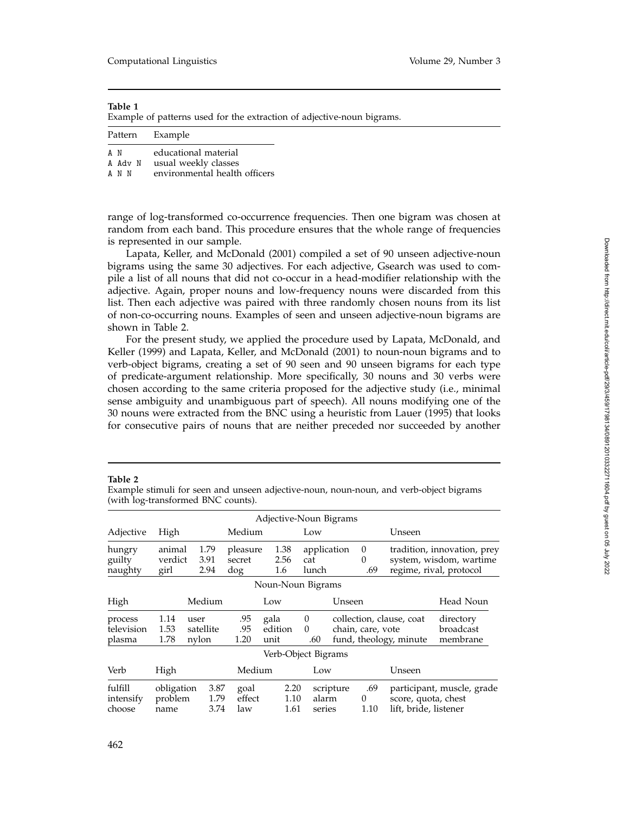Example of patterns used for the extraction of adjective-noun bigrams.

| Example |  |
|---------|--|
|         |  |

| A N     | educational material          |
|---------|-------------------------------|
| A Adv N | usual weekly classes          |
| ANN     | environmental health officers |
|         |                               |

range of log-transformed co-occurrence frequencies. Then one bigram was chosen at random from each band. This procedure ensures that the whole range of frequencies is represented in our sample.

Lapata, Keller, and McDonald (2001) compiled a set of 90 unseen adjective-noun bigrams using the same 30 adjectives. For each adjective, Gsearch was used to compile a list of all nouns that did not co-occur in a head-modifier relationship with the adjective. Again, proper nouns and low-frequency nouns were discarded from this list. Then each adjective was paired with three randomly chosen nouns from its list of non-co-occurring nouns. Examples of seen and unseen adjective-noun bigrams are shown in Table 2.

For the present study, we applied the procedure used by Lapata, McDonald, and Keller (1999) and Lapata, Keller, and McDonald (2001) to noun-noun bigrams and to verb-object bigrams, creating a set of 90 seen and 90 unseen bigrams for each type of predicate-argument relationship. More specifically, 30 nouns and 30 verbs were chosen according to the same criteria proposed for the adjective study (i.e., minimal sense ambiguity and unambiguous part of speech). All nouns modifying one of the 30 nouns were extracted from the BNC using a heuristic from Lauer (1995) that looks for consecutive pairs of nouns that are neither preceded nor succeeded by another

#### **Table 2**

Example stimuli for seen and unseen adjective-noun, noun-noun, and verb-object bigrams (with log-transformed BNC counts).

|                                 |                               |                            |                           | Adjective-Noun Bigrams  |                             |                                                                         |                             |                                              |                                                                                   |
|---------------------------------|-------------------------------|----------------------------|---------------------------|-------------------------|-----------------------------|-------------------------------------------------------------------------|-----------------------------|----------------------------------------------|-----------------------------------------------------------------------------------|
| Adjective                       | High                          |                            | Medium                    |                         | Low                         |                                                                         |                             | Unseen                                       |                                                                                   |
| hungry<br>guilty<br>naughty     | animal<br>verdict<br>girl     | 1.79<br>3.91<br>2.94       | pleasure<br>secret<br>dog | 1.38<br>2.56<br>1.6     | cat<br>lunch                | application                                                             | $\theta$<br>$\theta$<br>.69 |                                              | tradition, innovation, prey<br>system, wisdom, wartime<br>regime, rival, protocol |
| Noun-Noun Bigrams               |                               |                            |                           |                         |                             |                                                                         |                             |                                              |                                                                                   |
| High                            |                               | Medium                     |                           | Low                     |                             | Unseen                                                                  |                             |                                              | Head Noun                                                                         |
| process<br>television<br>plasma | 1.14<br>1.53<br>1.78          | user<br>satellite<br>nylon | .95<br>.95<br>1.20        | gala<br>edition<br>unit | $\theta$<br>$\theta$<br>.60 | collection, clause, coat<br>chain, care, vote<br>fund, theology, minute |                             | directory<br>broadcast<br>membrane           |                                                                                   |
|                                 |                               |                            |                           | Verb-Object Bigrams     |                             |                                                                         |                             |                                              |                                                                                   |
| Verb                            | High                          |                            | Medium                    |                         | Low                         |                                                                         |                             | Unseen                                       |                                                                                   |
| fulfill<br>intensify<br>choose  | obligation<br>problem<br>name | 3.87<br>1.79<br>3.74       | goal<br>effect<br>law     | 2.20<br>1.10<br>1.61    | alarm<br>series             | scripture                                                               | .69<br>$\theta$<br>1.10     | score, quota, chest<br>lift, bride, listener | participant, muscle, grade                                                        |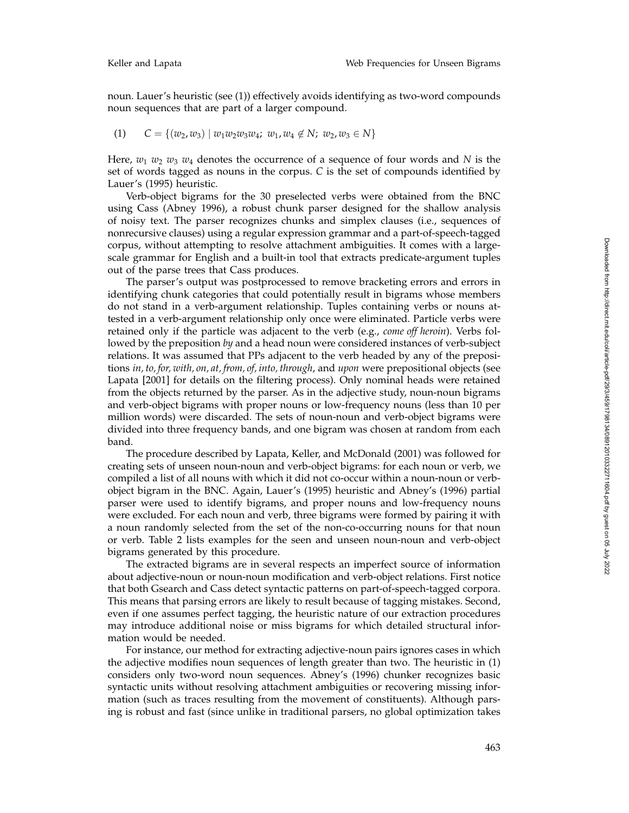noun. Lauer's heuristic (see (1)) effectively avoids identifying as two-word compounds noun sequences that are part of a larger compound.

$$
(1) \qquad C = \{ (w_2, w_3) \mid w_1 w_2 w_3 w_4; \ w_1, w_4 \notin N; \ w_2, w_3 \in N \}
$$

Here,  $w_1$   $w_2$   $w_3$   $w_4$  denotes the occurrence of a sequence of four words and N is the set of words tagged as nouns in the corpus. *C* is the set of compounds identified by Lauer's (1995) heuristic.

Verb-object bigrams for the 30 preselected verbs were obtained from the BNC using Cass (Abney 1996), a robust chunk parser designed for the shallow analysis of noisy text. The parser recognizes chunks and simplex clauses (i.e., sequences of nonrecursive clauses) using a regular expression grammar and a part-of-speech-tagged corpus, without attempting to resolve attachment ambiguities. It comes with a largescale grammar for English and a built-in tool that extracts predicate-argument tuples out of the parse trees that Cass produces.

The parser's output was postprocessed to remove bracketing errors and errors in identifying chunk categories that could potentially result in bigrams whose members do not stand in a verb-argument relationship. Tuples containing verbs or nouns attested in a verb-argument relationship only once were eliminated. Particle verbs were retained only if the particle was adjacent to the verb (e.g., *come off heroin*). Verbs followed by the preposition *by* and a head noun were considered instances of verb-subject relations. It was assumed that PPs adjacent to the verb headed by any of the prepositions *in, to, for, with, on, at, from, of, into, through*, and *upon* were prepositional objects (see Lapata [2001] for details on the filtering process). Only nominal heads were retained from the objects returned by the parser. As in the adjective study, noun-noun bigrams and verb-object bigrams with proper nouns or low-frequency nouns (less than 10 per million words) were discarded. The sets of noun-noun and verb-object bigrams were divided into three frequency bands, and one bigram was chosen at random from each band.

The procedure described by Lapata, Keller, and McDonald (2001) was followed for creating sets of unseen noun-noun and verb-object bigrams: for each noun or verb, we compiled a list of all nouns with which it did not co-occur within a noun-noun or verbobject bigram in the BNC. Again, Lauer's (1995) heuristic and Abney's (1996) partial parser were used to identify bigrams, and proper nouns and low-frequency nouns were excluded. For each noun and verb, three bigrams were formed by pairing it with a noun randomly selected from the set of the non-co-occurring nouns for that noun or verb. Table 2 lists examples for the seen and unseen noun-noun and verb-object bigrams generated by this procedure.

The extracted bigrams are in several respects an imperfect source of information about adjective-noun or noun-noun modification and verb-object relations. First notice that both Gsearch and Cass detect syntactic patterns on part-of-speech-tagged corpora. This means that parsing errors are likely to result because of tagging mistakes. Second, even if one assumes perfect tagging, the heuristic nature of our extraction procedures may introduce additional noise or miss bigrams for which detailed structural information would be needed.

For instance, our method for extracting adjective-noun pairs ignores cases in which the adjective modifies noun sequences of length greater than two. The heuristic in (1) considers only two-word noun sequences. Abney's (1996) chunker recognizes basic syntactic units without resolving attachment ambiguities or recovering missing information (such as traces resulting from the movement of constituents). Although parsing is robust and fast (since unlike in traditional parsers, no global optimization takes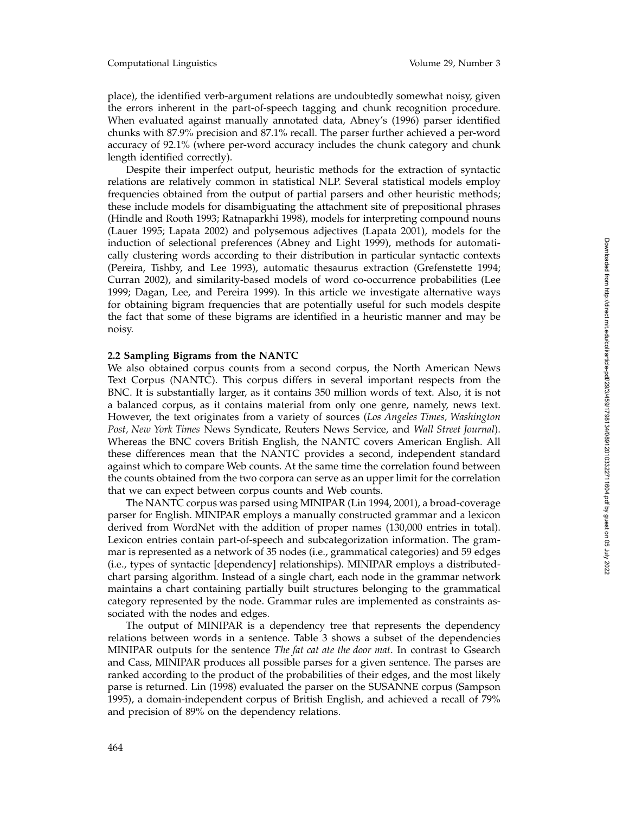place), the identified verb-argument relations are undoubtedly somewhat noisy, given the errors inherent in the part-of-speech tagging and chunk recognition procedure. When evaluated against manually annotated data, Abney's (1996) parser identified chunks with 87.9% precision and 87.1% recall. The parser further achieved a per-word accuracy of 92.1% (where per-word accuracy includes the chunk category and chunk length identified correctly).

Despite their imperfect output, heuristic methods for the extraction of syntactic relations are relatively common in statistical NLP. Several statistical models employ frequencies obtained from the output of partial parsers and other heuristic methods; these include models for disambiguating the attachment site of prepositional phrases (Hindle and Rooth 1993; Ratnaparkhi 1998), models for interpreting compound nouns (Lauer 1995; Lapata 2002) and polysemous adjectives (Lapata 2001), models for the induction of selectional preferences (Abney and Light 1999), methods for automatically clustering words according to their distribution in particular syntactic contexts (Pereira, Tishby, and Lee 1993), automatic thesaurus extraction (Grefenstette 1994; Curran 2002), and similarity-based models of word co-occurrence probabilities (Lee 1999; Dagan, Lee, and Pereira 1999). In this article we investigate alternative ways for obtaining bigram frequencies that are potentially useful for such models despite the fact that some of these bigrams are identified in a heuristic manner and may be noisy.

## **2.2 Sampling Bigrams from the NANTC**

We also obtained corpus counts from a second corpus, the North American News Text Corpus (NANTC). This corpus differs in several important respects from the BNC. It is substantially larger, as it contains 350 million words of text. Also, it is not a balanced corpus, as it contains material from only one genre, namely, news text. However, the text originates from a variety of sources (*Los Angeles Times, Washington Post, New York Times* News Syndicate, Reuters News Service, and *Wall Street Journal*). Whereas the BNC covers British English, the NANTC covers American English. All these differences mean that the NANTC provides a second, independent standard against which to compare Web counts. At the same time the correlation found between the counts obtained from the two corpora can serve as an upper limit for the correlation that we can expect between corpus counts and Web counts.

The NANTC corpus was parsed using MINIPAR (Lin 1994, 2001), a broad-coverage parser for English. MINIPAR employs a manually constructed grammar and a lexicon derived from WordNet with the addition of proper names (130,000 entries in total). Lexicon entries contain part-of-speech and subcategorization information. The grammar is represented as a network of 35 nodes (i.e., grammatical categories) and 59 edges (i.e., types of syntactic [dependency] relationships). MINIPAR employs a distributedchart parsing algorithm. Instead of a single chart, each node in the grammar network maintains a chart containing partially built structures belonging to the grammatical category represented by the node. Grammar rules are implemented as constraints associated with the nodes and edges.

The output of MINIPAR is a dependency tree that represents the dependency relations between words in a sentence. Table 3 shows a subset of the dependencies MINIPAR outputs for the sentence *The fat cat ate the door mat*. In contrast to Gsearch and Cass, MINIPAR produces all possible parses for a given sentence. The parses are ranked according to the product of the probabilities of their edges, and the most likely parse is returned. Lin (1998) evaluated the parser on the SUSANNE corpus (Sampson 1995), a domain-independent corpus of British English, and achieved a recall of 79% and precision of 89% on the dependency relations.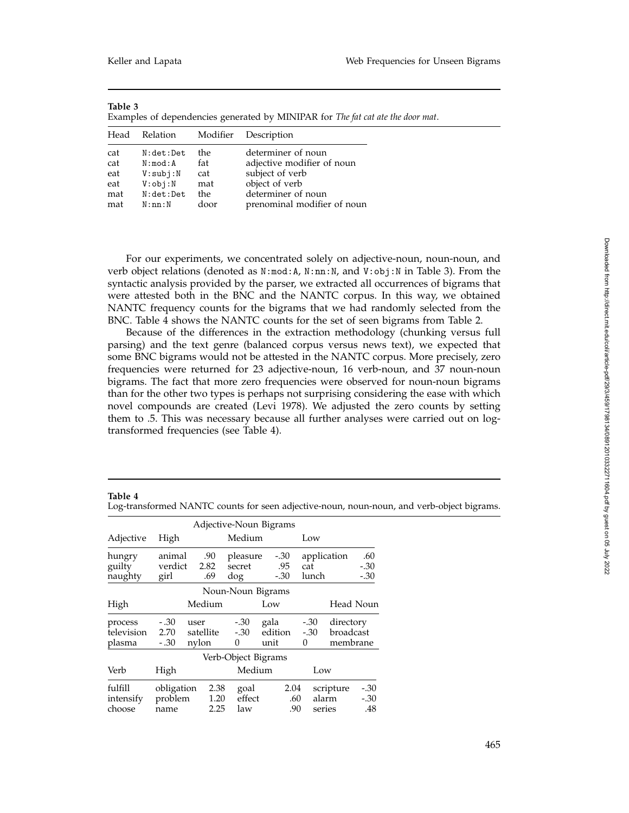| Head | Relation  | Modifier | Description                 |
|------|-----------|----------|-----------------------------|
| cat  | N:det:Det | the      | determiner of noun          |
| cat  | N:mod:A   | fat      | adjective modifier of noun  |
| eat  | V:subj:N  | cat      | subject of verb             |
| eat  | V:obj:N   | mat      | object of verb              |
| mat  | N:det:Det | the      | determiner of noun          |
| mat  | N:nn:N    | door     | prenominal modifier of noun |

| Table 3                                                                         |  |  |
|---------------------------------------------------------------------------------|--|--|
| Examples of dependencies generated by MINIPAR for The fat cat ate the door mat. |  |  |

For our experiments, we concentrated solely on adjective-noun, noun-noun, and verb object relations (denoted as N:mod:A, N:nn:N, and V:obj:N in Table 3). From the syntactic analysis provided by the parser, we extracted all occurrences of bigrams that were attested both in the BNC and the NANTC corpus. In this way, we obtained NANTC frequency counts for the bigrams that we had randomly selected from the BNC. Table 4 shows the NANTC counts for the set of seen bigrams from Table 2.

Because of the differences in the extraction methodology (chunking versus full parsing) and the text genre (balanced corpus versus news text), we expected that some BNC bigrams would not be attested in the NANTC corpus. More precisely, zero frequencies were returned for 23 adjective-noun, 16 verb-noun, and 37 noun-noun bigrams. The fact that more zero frequencies were observed for noun-noun bigrams than for the other two types is perhaps not surprising considering the ease with which novel compounds are created (Levi 1978). We adjusted the zero counts by setting them to .5. This was necessary because all further analyses were carried out on logtransformed frequencies (see Table 4).

## **Table 4**

|                                 |                               |                            |                           | Adjective-Noun Bigrams  |                             |                                    |                         |
|---------------------------------|-------------------------------|----------------------------|---------------------------|-------------------------|-----------------------------|------------------------------------|-------------------------|
| Adjective                       | High                          |                            | Medium                    |                         | Low                         |                                    |                         |
| hungry<br>guilty<br>naughty     | animal<br>verdict<br>girl     | .90<br>2.82<br>.69         | pleasure<br>secret<br>dog | $-.30$<br>.95<br>$-.30$ | application<br>cat<br>lunch |                                    | .60<br>$-.30$<br>$-.30$ |
|                                 |                               |                            | Noun-Noun Bigrams         |                         |                             |                                    |                         |
| High                            |                               | Medium                     |                           | Low                     |                             | Head Noun                          |                         |
| process<br>television<br>plasma | $-.30$<br>2.70<br>$-.30$      | user<br>satellite<br>nylon | $-.30$<br>$-.30$<br>0     | gala<br>edition<br>unit | $-.30$<br>$-.30$<br>0       | directory<br>broadcast<br>membrane |                         |
|                                 |                               |                            | Verb-Object Bigrams       |                         |                             |                                    |                         |
| Verb                            | High                          |                            | Medium                    |                         | Low                         |                                    |                         |
| fulfill<br>intensify<br>choose  | obligation<br>problem<br>name | 2.38<br>1.20<br>2.25       | goal<br>effect<br>law     | 2.04<br>.60<br>.90      | alarm<br>series             | scripture                          | $-.30$<br>$-.30$<br>.48 |

Log-transformed NANTC counts for seen adjective-noun, noun-noun, and verb-object bigrams.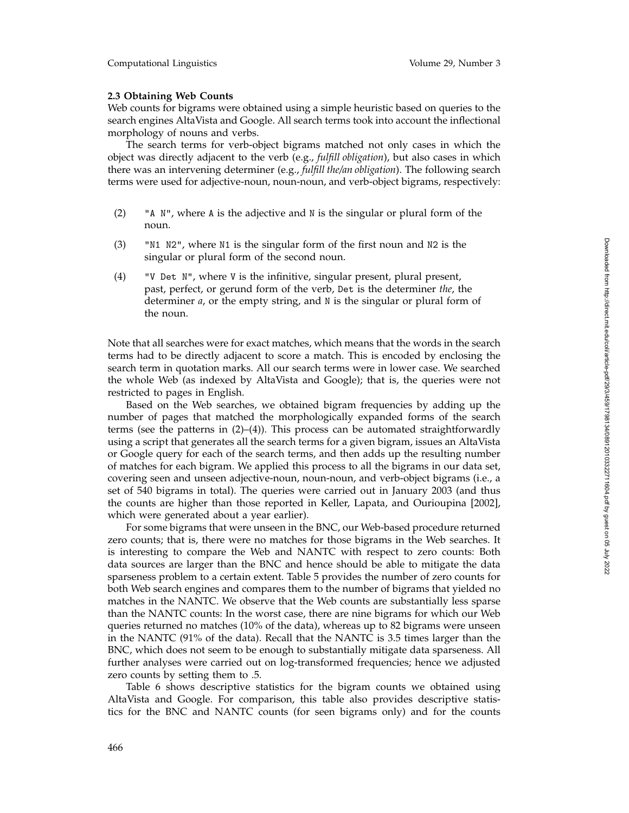## **2.3 Obtaining Web Counts**

Web counts for bigrams were obtained using a simple heuristic based on queries to the search engines AltaVista and Google. All search terms took into account the inflectional morphology of nouns and verbs.

The search terms for verb-object bigrams matched not only cases in which the object was directly adjacent to the verb (e.g., *fulfill obligation*), but also cases in which there was an intervening determiner (e.g., *fulfill the/an obligation*). The following search terms were used for adjective-noun, noun-noun, and verb-object bigrams, respectively:

- (2) "A N", where A is the adjective and N is the singular or plural form of the noun.
- (3) "N1 N2", where N1 is the singular form of the first noun and N2 is the singular or plural form of the second noun.
- (4) "V Det N", where V is the infinitive, singular present, plural present, past, perfect, or gerund form of the verb, Det is the determiner *the*, the determiner *a*, or the empty string, and N is the singular or plural form of the noun.

Note that all searches were for exact matches, which means that the words in the search terms had to be directly adjacent to score a match. This is encoded by enclosing the search term in quotation marks. All our search terms were in lower case. We searched the whole Web (as indexed by AltaVista and Google); that is, the queries were not restricted to pages in English.

Based on the Web searches, we obtained bigram frequencies by adding up the number of pages that matched the morphologically expanded forms of the search terms (see the patterns in (2)–(4)). This process can be automated straightforwardly using a script that generates all the search terms for a given bigram, issues an AltaVista or Google query for each of the search terms, and then adds up the resulting number of matches for each bigram. We applied this process to all the bigrams in our data set, covering seen and unseen adjective-noun, noun-noun, and verb-object bigrams (i.e., a set of 540 bigrams in total). The queries were carried out in January 2003 (and thus the counts are higher than those reported in Keller, Lapata, and Ourioupina [2002], which were generated about a year earlier).

For some bigrams that were unseen in the BNC, our Web-based procedure returned zero counts; that is, there were no matches for those bigrams in the Web searches. It is interesting to compare the Web and NANTC with respect to zero counts: Both data sources are larger than the BNC and hence should be able to mitigate the data sparseness problem to a certain extent. Table 5 provides the number of zero counts for both Web search engines and compares them to the number of bigrams that yielded no matches in the NANTC. We observe that the Web counts are substantially less sparse than the NANTC counts: In the worst case, there are nine bigrams for which our Web queries returned no matches (10% of the data), whereas up to 82 bigrams were unseen in the NANTC (91% of the data). Recall that the NANTC is 3.5 times larger than the BNC, which does not seem to be enough to substantially mitigate data sparseness. All further analyses were carried out on log-transformed frequencies; hence we adjusted zero counts by setting them to .5.

Table 6 shows descriptive statistics for the bigram counts we obtained using AltaVista and Google. For comparison, this table also provides descriptive statistics for the BNC and NANTC counts (for seen bigrams only) and for the counts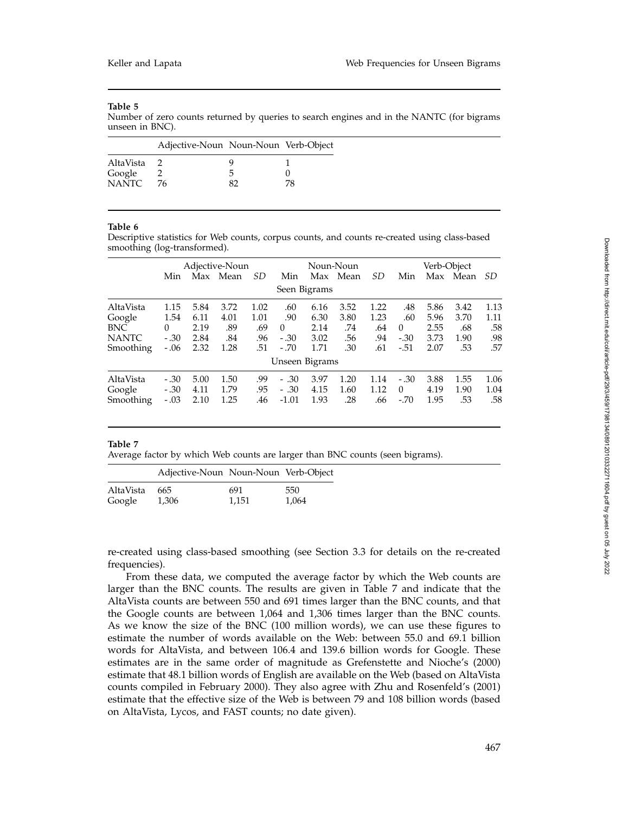Number of zero counts returned by queries to search engines and in the NANTC (for bigrams unseen in BNC).

|             | Adjective-Noun Noun-Noun Verb-Object |    |    |
|-------------|--------------------------------------|----|----|
| AltaVista 2 |                                      |    |    |
| Google      |                                      | 5  |    |
| NANTC       | 76                                   | 82 | 78 |
|             |                                      |    |    |

#### **Table 6**

Descriptive statistics for Web counts, corpus counts, and counts re-created using class-based smoothing (log-transformed).

|              | Adjective-Noun |      |          | Noun-Noun |         |              | Verb-Object |      |          |      |          |      |
|--------------|----------------|------|----------|-----------|---------|--------------|-------------|------|----------|------|----------|------|
|              | Min            |      | Max Mean | SD        | Min     |              | Max Mean    | SD   | Min      |      | Max Mean | -SD  |
|              |                |      |          |           |         | Seen Bigrams |             |      |          |      |          |      |
| AltaVista    | 1.15           | 5.84 | 3.72     | 1.02      | .60     | 6.16         | 3.52        | 1.22 | .48      | 5.86 | 3.42     | 1.13 |
| Google       | 1.54           | 6.11 | 4.01     | 1.01      | .90     | 6.30         | 3.80        | 1.23 | .60      | 5.96 | 3.70     | 1.11 |
| <b>BNC</b>   | 0              | 2.19 | .89      | .69       | 0       | 2.14         | .74         | .64  | $\Omega$ | 2.55 | .68      | .58  |
| <b>NANTC</b> | $-.30$         | 2.84 | .84      | .96       | $-.30$  | 3.02         | .56         | .94  | $-.30$   | 3.73 | 1.90     | .98  |
| Smoothing    | $-.06$         | 2.32 | 1.28     | .51       | - .70   | 1.71         | .30         | .61  | $-.51$   | 2.07 | .53      | .57  |
|              | Unseen Bigrams |      |          |           |         |              |             |      |          |      |          |      |
| AltaVista    | $-.30$         | 5.00 | 1.50     | .99       | $-.30$  | 3.97         | 1.20        | 1.14 | $-.30$   | 3.88 | 1.55     | 1.06 |
| Google       | $-.30$         | 4.11 | 1.79     | .95       | $-.30$  | 4.15         | 1.60        | 1.12 | $\Omega$ | 4.19 | 1.90     | 1.04 |
| Smoothing    | $-.03$         | 2.10 | 1.25     | .46       | $-1.01$ | 1.93         | .28         | .66  | $-.70$   | 1.95 | .53      | .58  |

**Table 7**

Average factor by which Web counts are larger than BNC counts (seen bigrams).

|           | Adjective-Noun Noun-Noun Verb-Object |       |       |
|-----------|--------------------------------------|-------|-------|
| AltaVista | 665                                  | 691   | 550   |
| Google    | 1,306                                | 1,151 | 1,064 |

re-created using class-based smoothing (see Section 3.3 for details on the re-created frequencies).

From these data, we computed the average factor by which the Web counts are larger than the BNC counts. The results are given in Table 7 and indicate that the AltaVista counts are between 550 and 691 times larger than the BNC counts, and that the Google counts are between 1,064 and 1,306 times larger than the BNC counts. As we know the size of the BNC (100 million words), we can use these figures to estimate the number of words available on the Web: between 55.0 and 69.1 billion words for AltaVista, and between 106.4 and 139.6 billion words for Google. These estimates are in the same order of magnitude as Grefenstette and Nioche's (2000) estimate that 48.1 billion words of English are available on the Web (based on AltaVista counts compiled in February 2000). They also agree with Zhu and Rosenfeld's (2001) estimate that the effective size of the Web is between 79 and 108 billion words (based on AltaVista, Lycos, and FAST counts; no date given).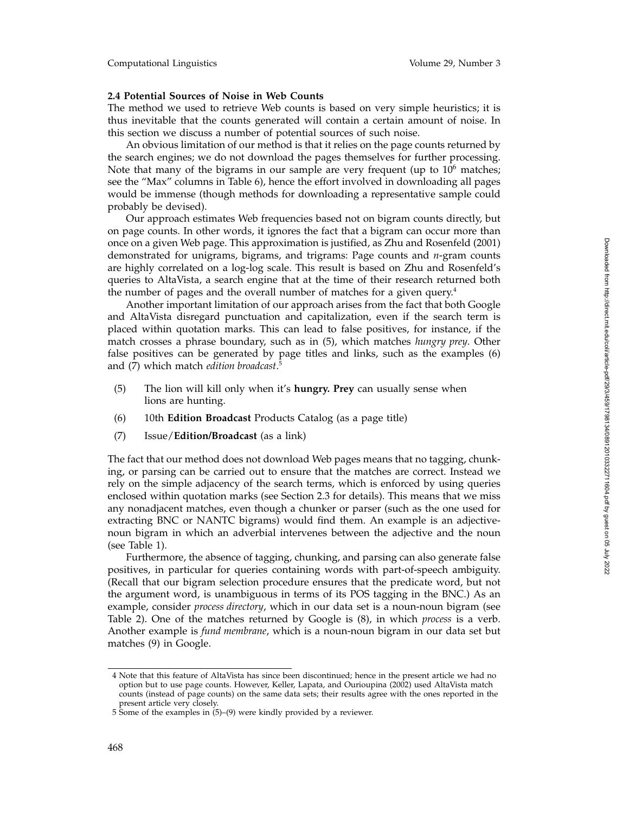# **2.4 Potential Sources of Noise in Web Counts**

The method we used to retrieve Web counts is based on very simple heuristics; it is thus inevitable that the counts generated will contain a certain amount of noise. In this section we discuss a number of potential sources of such noise.

An obvious limitation of our method is that it relies on the page counts returned by the search engines; we do not download the pages themselves for further processing. Note that many of the bigrams in our sample are very frequent (up to  $10^6$  matches; see the "Max" columns in Table 6), hence the effort involved in downloading all pages would be immense (though methods for downloading a representative sample could probably be devised).

Our approach estimates Web frequencies based not on bigram counts directly, but on page counts. In other words, it ignores the fact that a bigram can occur more than once on a given Web page. This approximation is justified, as Zhu and Rosenfeld (2001) demonstrated for unigrams, bigrams, and trigrams: Page counts and *n*-gram counts are highly correlated on a log-log scale. This result is based on Zhu and Rosenfeld's queries to AltaVista, a search engine that at the time of their research returned both the number of pages and the overall number of matches for a given query.<sup>4</sup>

Another important limitation of our approach arises from the fact that both Google and AltaVista disregard punctuation and capitalization, even if the search term is placed within quotation marks. This can lead to false positives, for instance, if the match crosses a phrase boundary, such as in (5), which matches *hungry prey*. Other false positives can be generated by page titles and links, such as the examples (6) and (7) which match *edition broadcast* . 5

- (5) The lion will kill only when it's **hungry. Prey** can usually sense when lions are hunting.
- (6) 10th **Edition Broadcast** Products Catalog (as a page title)
- (7) Issue/**Edition/Broadcast** (as a link)

The fact that our method does not download Web pages means that no tagging, chunking, or parsing can be carried out to ensure that the matches are correct. Instead we rely on the simple adjacency of the search terms, which is enforced by using queries enclosed within quotation marks (see Section 2.3 for details). This means that we miss any nonadjacent matches, even though a chunker or parser (such as the one used for extracting BNC or NANTC bigrams) would find them. An example is an adjectivenoun bigram in which an adverbial intervenes between the adjective and the noun (see Table 1).

Furthermore, the absence of tagging, chunking, and parsing can also generate false positives, in particular for queries containing words with part-of-speech ambiguity. (Recall that our bigram selection procedure ensures that the predicate word, but not the argument word, is unambiguous in terms of its POS tagging in the BNC.) As an example, consider *process directory*, which in our data set is a noun-noun bigram (see Table 2). One of the matches returned by Google is (8), in which *process* is a verb. Another example is *fund membrane*, which is a noun-noun bigram in our data set but matches (9) in Google.

<sup>4</sup> Note that this feature of AltaVista has since been discontinued; hence in the present article we had no option but to use page counts. However, Keller, Lapata, and Ourioupina (2002) used AltaVista match counts (instead of page counts) on the same data sets; their results agree with the ones reported in the present article very closely.

<sup>5</sup> Some of the examples in (5)–(9) were kindly provided by a reviewer.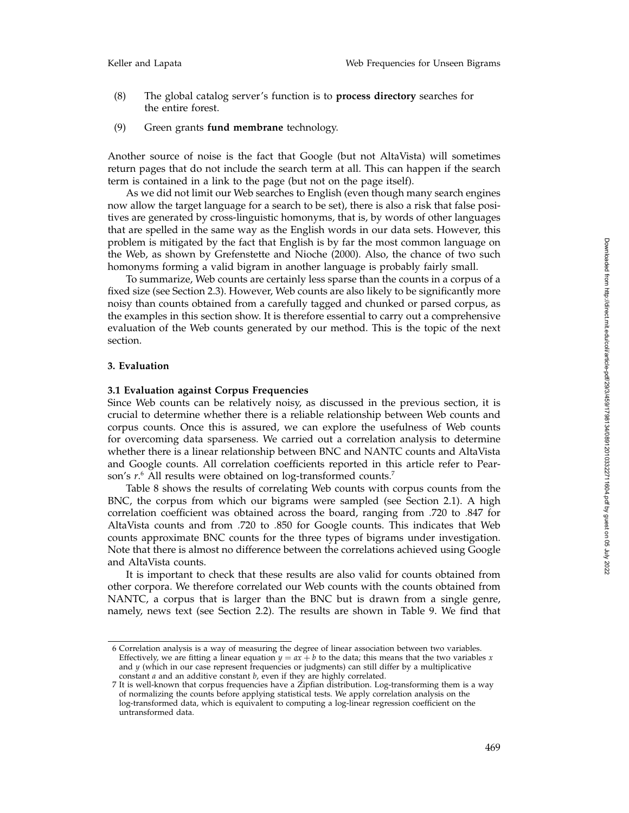- (8) The global catalog server's function is to **process directory** searches for the entire forest.
- (9) Green grants **fund membrane** technology.

Another source of noise is the fact that Google (but not AltaVista) will sometimes return pages that do not include the search term at all. This can happen if the search term is contained in a link to the page (but not on the page itself).

As we did not limit our Web searches to English (even though many search engines now allow the target language for a search to be set), there is also a risk that false positives are generated by cross-linguistic homonyms, that is, by words of other languages that are spelled in the same way as the English words in our data sets. However, this problem is mitigated by the fact that English is by far the most common language on the Web, as shown by Grefenstette and Nioche (2000). Also, the chance of two such homonyms forming a valid bigram in another language is probably fairly small.

To summarize, Web counts are certainly less sparse than the counts in a corpus of a fixed size (see Section 2.3). However, Web counts are also likely to be significantly more noisy than counts obtained from a carefully tagged and chunked or parsed corpus, as the examples in this section show. It is therefore essential to carry out a comprehensive evaluation of the Web counts generated by our method. This is the topic of the next section.

# **3. Evaluation**

# **3.1 Evaluation against Corpus Frequencies**

Since Web counts can be relatively noisy, as discussed in the previous section, it is crucial to determine whether there is a reliable relationship between Web counts and corpus counts. Once this is assured, we can explore the usefulness of Web counts for overcoming data sparseness. We carried out a correlation analysis to determine whether there is a linear relationship between BNC and NANTC counts and AltaVista and Google counts. All correlation coefficients reported in this article refer to Pearson's  $r<sup>6</sup>$ . All results were obtained on log-transformed counts.<sup>7</sup>

Table 8 shows the results of correlating Web counts with corpus counts from the BNC, the corpus from which our bigrams were sampled (see Section 2.1). A high correlation coefficient was obtained across the board, ranging from .720 to .847 for AltaVista counts and from .720 to .850 for Google counts. This indicates that Web counts approximate BNC counts for the three types of bigrams under investigation. Note that there is almost no difference between the correlations achieved using Google and AltaVista counts.

It is important to check that these results are also valid for counts obtained from other corpora. We therefore correlated our Web counts with the counts obtained from NANTC, a corpus that is larger than the BNC but is drawn from a single genre, namely, news text (see Section 2.2). The results are shown in Table 9. We find that

<sup>6</sup> Correlation analysis is a way of measuring the degree of linear association between two variables. Effectively, we are fitting a linear equation  $y = ax + b$  to the data; this means that the two variables x and *y* (which in our case represent frequencies or judgments) can still differ by a multiplicative constant *a* and an additive constant *b*, even if they are highly correlated.

<sup>7</sup> It is well-known that corpus frequencies have a Zipfian distribution. Log-transforming them is a way of normalizing the counts before applying statistical tests. We apply correlation analysis on the log-transformed data, which is equivalent to computing a log-linear regression coefficient on the untransformed data.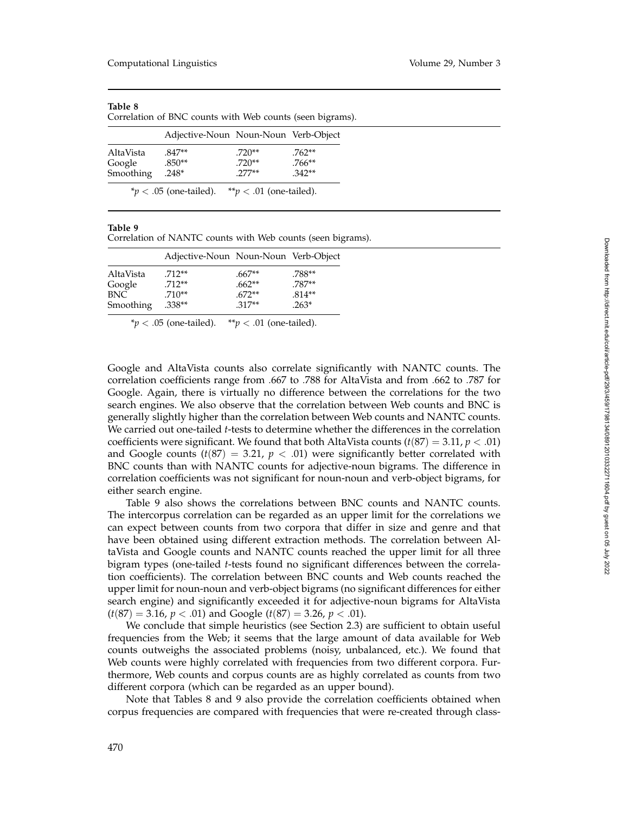| Tavic 0<br>Correlation of BNC counts with Web counts (seen bigrams). |                                                      |          |          |  |  |
|----------------------------------------------------------------------|------------------------------------------------------|----------|----------|--|--|
|                                                                      | Adjective-Noun Noun-Noun Verb-Object                 |          |          |  |  |
| AltaVista                                                            | $.847**$                                             | $.720**$ | $.762**$ |  |  |
| Google                                                               | $.850**$                                             | $.720**$ | $.766**$ |  |  |
| Smoothing                                                            | $.248*$                                              | $.277**$ | $.342**$ |  |  |
|                                                                      | * $p < .05$ (one-tailed). ** $p < .01$ (one-tailed). |          |          |  |  |

| Table 9 |                                                             |  |  |  |
|---------|-------------------------------------------------------------|--|--|--|
|         | Correlation of NANTC counts with Web counts (seen bigrams). |  |  |  |

|            | Adjective-Noun Noun-Noun Verb-Object |          |          |
|------------|--------------------------------------|----------|----------|
| AltaVista  | $.712**$                             | $.667**$ | .788**   |
| Google     | $.712**$                             | $.662**$ | .787**   |
| <b>BNC</b> | $.710**$                             | $.672**$ | $.814**$ |
| Smoothing  | $.338**$                             | $.317**$ | $.263*$  |

\**p* < .05 (one-tailed). \*\**p* < .01 (one-tailed).

Google and AltaVista counts also correlate significantly with NANTC counts. The correlation coefficients range from .667 to .788 for AltaVista and from .662 to .787 for Google. Again, there is virtually no difference between the correlations for the two search engines. We also observe that the correlation between Web counts and BNC is generally slightly higher than the correlation between Web counts and NANTC counts. We carried out one-tailed *t*-tests to determine whether the differences in the correlation coefficients were significant. We found that both AltaVista counts  $(t(87) = 3.11, p < .01)$ and Google counts ( $t(87) = 3.21$ ,  $p < .01$ ) were significantly better correlated with BNC counts than with NANTC counts for adjective-noun bigrams. The difference in correlation coefficients was not significant for noun-noun and verb-object bigrams, for either search engine.

Table 9 also shows the correlations between BNC counts and NANTC counts. The intercorpus correlation can be regarded as an upper limit for the correlations we can expect between counts from two corpora that differ in size and genre and that have been obtained using different extraction methods. The correlation between AltaVista and Google counts and NANTC counts reached the upper limit for all three bigram types (one-tailed *t*-tests found no significant differences between the correlation coefficients). The correlation between BNC counts and Web counts reached the upper limit for noun-noun and verb-object bigrams (no significant differences for either search engine) and significantly exceeded it for adjective-noun bigrams for AltaVista  $(t(87) = 3.16, p < .01)$  and Google  $(t(87) = 3.26, p < .01)$ .

We conclude that simple heuristics (see Section 2.3) are sufficient to obtain useful frequencies from the Web; it seems that the large amount of data available for Web counts outweighs the associated problems (noisy, unbalanced, etc.). We found that Web counts were highly correlated with frequencies from two different corpora. Furthermore, Web counts and corpus counts are as highly correlated as counts from two different corpora (which can be regarded as an upper bound).

Note that Tables 8 and 9 also provide the correlation coefficients obtained when corpus frequencies are compared with frequencies that were re-created through class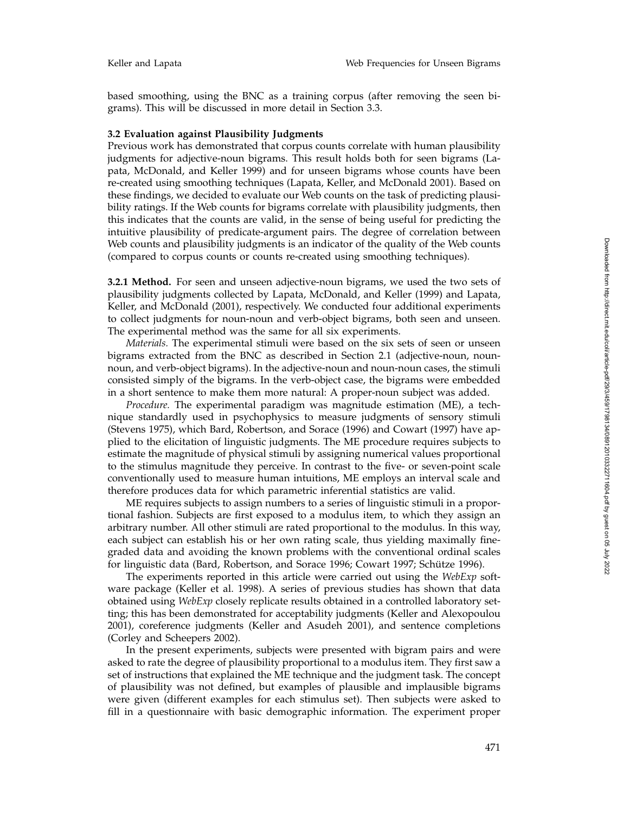based smoothing, using the BNC as a training corpus (after removing the seen bigrams). This will be discussed in more detail in Section 3.3.

# **3.2 Evaluation against Plausibility Judgments**

Previous work has demonstrated that corpus counts correlate with human plausibility judgments for adjective-noun bigrams. This result holds both for seen bigrams (Lapata, McDonald, and Keller 1999) and for unseen bigrams whose counts have been re-created using smoothing techniques (Lapata, Keller, and McDonald 2001). Based on these findings, we decided to evaluate our Web counts on the task of predicting plausibility ratings. If the Web counts for bigrams correlate with plausibility judgments, then this indicates that the counts are valid, in the sense of being useful for predicting the intuitive plausibility of predicate-argument pairs. The degree of correlation between Web counts and plausibility judgments is an indicator of the quality of the Web counts (compared to corpus counts or counts re-created using smoothing techniques).

**3.2.1 Method.** For seen and unseen adjective-noun bigrams, we used the two sets of plausibility judgments collected by Lapata, McDonald, and Keller (1999) and Lapata, Keller, and McDonald (2001), respectively. We conducted four additional experiments to collect judgments for noun-noun and verb-object bigrams, both seen and unseen. The experimental method was the same for all six experiments.

*Materials.* The experimental stimuli were based on the six sets of seen or unseen bigrams extracted from the BNC as described in Section 2.1 (adjective-noun, nounnoun, and verb-object bigrams). In the adjective-noun and noun-noun cases, the stimuli consisted simply of the bigrams. In the verb-object case, the bigrams were embedded in a short sentence to make them more natural: A proper-noun subject was added.

*Procedure.* The experimental paradigm was magnitude estimation (ME), a technique standardly used in psychophysics to measure judgments of sensory stimuli (Stevens 1975), which Bard, Robertson, and Sorace (1996) and Cowart (1997) have applied to the elicitation of linguistic judgments. The ME procedure requires subjects to estimate the magnitude of physical stimuli by assigning numerical values proportional to the stimulus magnitude they perceive. In contrast to the five- or seven-point scale conventionally used to measure human intuitions, ME employs an interval scale and therefore produces data for which parametric inferential statistics are valid.

ME requires subjects to assign numbers to a series of linguistic stimuli in a proportional fashion. Subjects are first exposed to a modulus item, to which they assign an arbitrary number. All other stimuli are rated proportional to the modulus. In this way, each subject can establish his or her own rating scale, thus yielding maximally finegraded data and avoiding the known problems with the conventional ordinal scales for linguistic data (Bard, Robertson, and Sorace 1996; Cowart 1997; Schütze 1996).

The experiments reported in this article were carried out using the *WebExp* software package (Keller et al. 1998). A series of previous studies has shown that data obtained using *WebExp* closely replicate results obtained in a controlled laboratory setting; this has been demonstrated for acceptability judgments (Keller and Alexopoulou 2001), coreference judgments (Keller and Asudeh 2001), and sentence completions (Corley and Scheepers 2002).

In the present experiments, subjects were presented with bigram pairs and were asked to rate the degree of plausibility proportional to a modulus item. They first saw a set of instructions that explained the ME technique and the judgment task. The concept of plausibility was not defined, but examples of plausible and implausible bigrams were given (different examples for each stimulus set). Then subjects were asked to fill in a questionnaire with basic demographic information. The experiment proper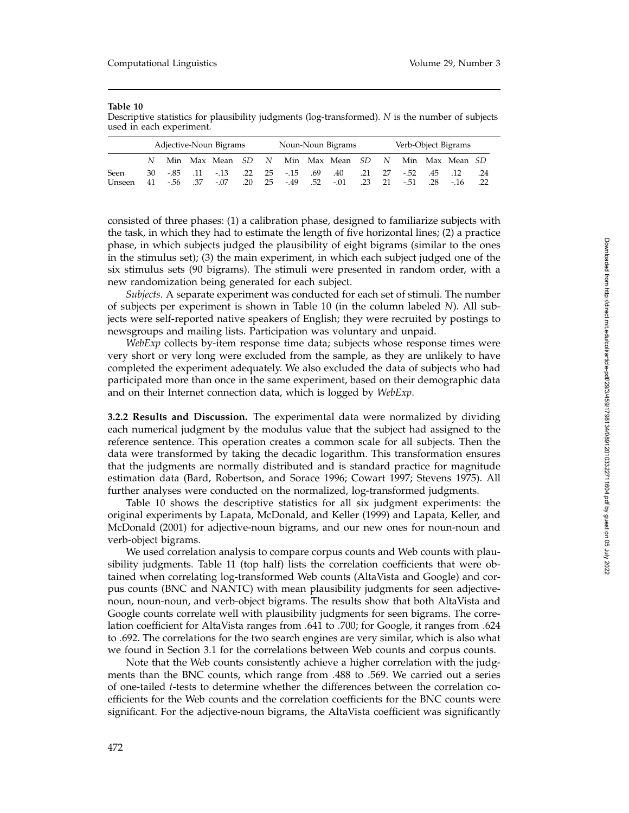Descriptive statistics for plausibility judgments (log-transformed). *N* is the number of subjects used in each experiment.

|                |           |                 |     | Adjective-Noun Bigrams |            |    |                       |     | Noun-Noun Bigrams                   |            |          |        |                          | Verb-Object Bigrams |     |
|----------------|-----------|-----------------|-----|------------------------|------------|----|-----------------------|-----|-------------------------------------|------------|----------|--------|--------------------------|---------------------|-----|
|                |           |                 |     |                        |            |    |                       |     | Min Max Mean SD N Min Max Mean SD N |            |          |        |                          | Min Max Mean SD     |     |
| Seen<br>Unseen | 30.<br>41 | $-85$<br>$-.56$ | .37 | $.11 - .13$<br>$-.07$  | .22<br>.20 | 25 | 25 - 15 .69<br>$-.49$ | .52 | .40<br>$-.01$                       | .21<br>.23 | 27<br>21 | $-.51$ | $-52$ $-45$ $-12$<br>.28 | $-16$               | .24 |

consisted of three phases: (1) a calibration phase, designed to familiarize subjects with the task, in which they had to estimate the length of five horizontal lines; (2) a practice phase, in which subjects judged the plausibility of eight bigrams (similar to the ones in the stimulus set); (3) the main experiment, in which each subject judged one of the six stimulus sets (90 bigrams). The stimuli were presented in random order, with a new randomization being generated for each subject.

*Subjects.* A separate experiment was conducted for each set of stimuli. The number of subjects per experiment is shown in Table 10 (in the column labeled *N*). All subjects were self-reported native speakers of English; they were recruited by postings to newsgroups and mailing lists. Participation was voluntary and unpaid.

*WebExp* collects by-item response time data; subjects whose response times were very short or very long were excluded from the sample, as they are unlikely to have completed the experiment adequately. We also excluded the data of subjects who had participated more than once in the same experiment, based on their demographic data and on their Internet connection data, which is logged by *WebExp*.

**3.2.2 Results and Discussion.** The experimental data were normalized by dividing each numerical judgment by the modulus value that the subject had assigned to the reference sentence. This operation creates a common scale for all subjects. Then the data were transformed by taking the decadic logarithm. This transformation ensures that the judgments are normally distributed and is standard practice for magnitude estimation data (Bard, Robertson, and Sorace 1996; Cowart 1997; Stevens 1975). All further analyses were conducted on the normalized, log-transformed judgments.

Table 10 shows the descriptive statistics for all six judgment experiments: the original experiments by Lapata, McDonald, and Keller (1999) and Lapata, Keller, and McDonald (2001) for adjective-noun bigrams, and our new ones for noun-noun and verb-object bigrams.

We used correlation analysis to compare corpus counts and Web counts with plausibility judgments. Table 11 (top half) lists the correlation coefficients that were obtained when correlating log-transformed Web counts (AltaVista and Google) and corpus counts (BNC and NANTC) with mean plausibility judgments for seen adjectivenoun, noun-noun, and verb-object bigrams. The results show that both AltaVista and Google counts correlate well with plausibility judgments for seen bigrams. The correlation coefficient for AltaVista ranges from .641 to .700; for Google, it ranges from .624 to .692. The correlations for the two search engines are very similar, which is also what we found in Section 3.1 for the correlations between Web counts and corpus counts.

Note that the Web counts consistently achieve a higher correlation with the judgments than the BNC counts, which range from .488 to .569. We carried out a series of one-tailed *t*-tests to determine whether the differences between the correlation coefficients for the Web counts and the correlation coefficients for the BNC counts were significant. For the adjective-noun bigrams, the AltaVista coefficient was significantly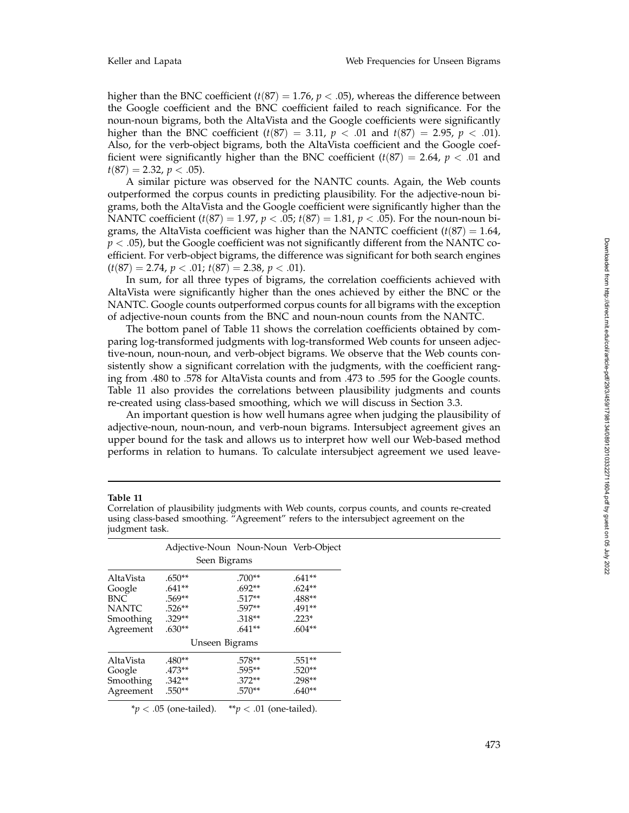higher than the BNC coefficient ( $t(87) = 1.76$ ,  $p < .05$ ), whereas the difference between the Google coefficient and the BNC coefficient failed to reach significance. For the noun-noun bigrams, both the AltaVista and the Google coefficients were significantly higher than the BNC coefficient  $(t(87) = 3.11, p < .01$  and  $t(87) = 2.95, p < .01$ ). Also, for the verb-object bigrams, both the AltaVista coefficient and the Google coefficient were significantly higher than the BNC coefficient  $(t(87) = 2.64, p < .01$  and  $t(87) = 2.32, p < .05$ ).

A similar picture was observed for the NANTC counts. Again, the Web counts outperformed the corpus counts in predicting plausibility. For the adjective-noun bigrams, both the AltaVista and the Google coefficient were significantly higher than the NANTC coefficient (*t*(87) = 1.97, *p* < .05; *t*(87) = 1.81, *p* < .05). For the noun-noun bigrams, the AltaVista coefficient was higher than the NANTC coefficient  $(t(87) = 1.64$ , *p* < .05), but the Google coefficient was not significantly different from the NANTC coefficient. For verb-object bigrams, the difference was significant for both search engines  $(t(87) = 2.74, p < .01; t(87) = 2.38, p < .01$ .

In sum, for all three types of bigrams, the correlation coefficients achieved with AltaVista were significantly higher than the ones achieved by either the BNC or the NANTC. Google counts outperformed corpus counts for all bigrams with the exception of adjective-noun counts from the BNC and noun-noun counts from the NANTC.

The bottom panel of Table 11 shows the correlation coefficients obtained by comparing log-transformed judgments with log-transformed Web counts for unseen adjective-noun, noun-noun, and verb-object bigrams. We observe that the Web counts consistently show a significant correlation with the judgments, with the coefficient ranging from .480 to .578 for AltaVista counts and from .473 to .595 for the Google counts. Table 11 also provides the correlations between plausibility judgments and counts re-created using class-based smoothing, which we will discuss in Section 3.3.

An important question is how well humans agree when judging the plausibility of adjective-noun, noun-noun, and verb-noun bigrams. Intersubject agreement gives an upper bound for the task and allows us to interpret how well our Web-based method performs in relation to humans. To calculate intersubject agreement we used leave-

#### **Table 11**

Correlation of plausibility judgments with Web counts, corpus counts, and counts re-created using class-based smoothing. "Agreement" refers to the intersubject agreement on the judgment task.

|                | Adjective-Noun Noun-Noun Verb-Object<br>Seen Bigrams |          |          |  |  |  |  |
|----------------|------------------------------------------------------|----------|----------|--|--|--|--|
| AltaVista      | $.650**$                                             | $.700**$ | $.641**$ |  |  |  |  |
| Google         | $.641**$                                             | $.692**$ | $.624**$ |  |  |  |  |
| <b>BNC</b>     | $.569**$                                             | $.517**$ | $.488**$ |  |  |  |  |
| <b>NANTC</b>   | $.526**$                                             | .597**   | $.491**$ |  |  |  |  |
| Smoothing      | $.329**$                                             | $.318**$ | $.223*$  |  |  |  |  |
| Agreement      | $.630**$                                             | $.641**$ | $.604**$ |  |  |  |  |
| Unseen Bigrams |                                                      |          |          |  |  |  |  |
| AltaVista      | $.480**$                                             | .578**   | $.551**$ |  |  |  |  |
| Google         | $.473**$                                             | .595**   | $.520**$ |  |  |  |  |
| Smoothing      | $.342**$                                             | $.372**$ | .298**   |  |  |  |  |
| Agreement      | $.550**$                                             | $.570**$ | $.640**$ |  |  |  |  |

\**p* < .05 (one-tailed). \*\**p* < .01 (one-tailed).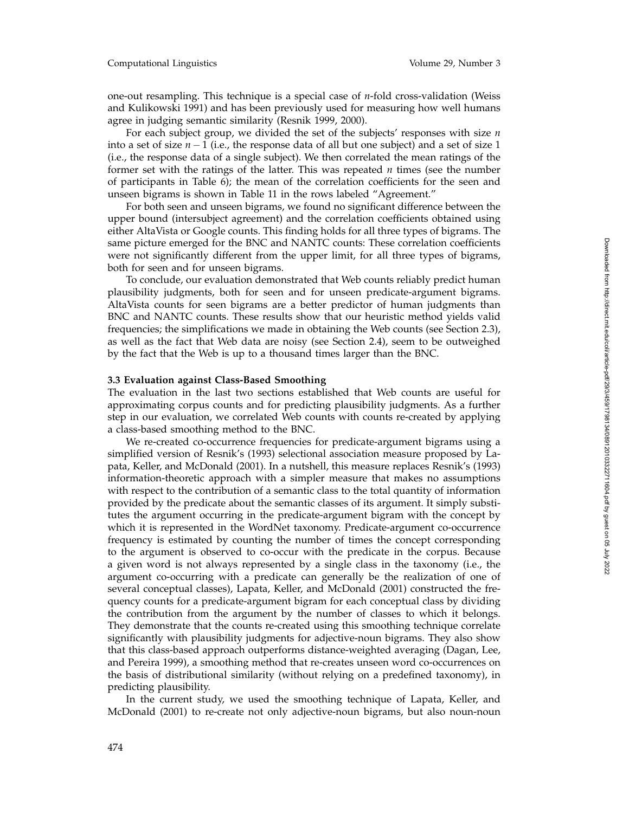one-out resampling. This technique is a special case of *n*-fold cross-validation (Weiss and Kulikowski 1991) and has been previously used for measuring how well humans agree in judging semantic similarity (Resnik 1999, 2000).

For each subject group, we divided the set of the subjects' responses with size *n* into a set of size  $n-1$  (i.e., the response data of all but one subject) and a set of size 1 (i.e., the response data of a single subject). We then correlated the mean ratings of the former set with the ratings of the latter. This was repeated *n* times (see the number of participants in Table 6); the mean of the correlation coefficients for the seen and unseen bigrams is shown in Table 11 in the rows labeled "Agreement."

For both seen and unseen bigrams, we found no significant difference between the upper bound (intersubject agreement) and the correlation coefficients obtained using either AltaVista or Google counts. This finding holds for all three types of bigrams. The same picture emerged for the BNC and NANTC counts: These correlation coefficients were not significantly different from the upper limit, for all three types of bigrams, both for seen and for unseen bigrams.

To conclude, our evaluation demonstrated that Web counts reliably predict human plausibility judgments, both for seen and for unseen predicate-argument bigrams. AltaVista counts for seen bigrams are a better predictor of human judgments than BNC and NANTC counts. These results show that our heuristic method yields valid frequencies; the simplifications we made in obtaining the Web counts (see Section 2.3), as well as the fact that Web data are noisy (see Section 2.4), seem to be outweighed by the fact that the Web is up to a thousand times larger than the BNC.

## **3.3 Evaluation against Class-Based Smoothing**

The evaluation in the last two sections established that Web counts are useful for approximating corpus counts and for predicting plausibility judgments. As a further step in our evaluation, we correlated Web counts with counts re-created by applying a class-based smoothing method to the BNC.

We re-created co-occurrence frequencies for predicate-argument bigrams using a simplified version of Resnik's (1993) selectional association measure proposed by Lapata, Keller, and McDonald (2001). In a nutshell, this measure replaces Resnik's (1993) information-theoretic approach with a simpler measure that makes no assumptions with respect to the contribution of a semantic class to the total quantity of information provided by the predicate about the semantic classes of its argument. It simply substitutes the argument occurring in the predicate-argument bigram with the concept by which it is represented in the WordNet taxonomy. Predicate-argument co-occurrence frequency is estimated by counting the number of times the concept corresponding to the argument is observed to co-occur with the predicate in the corpus. Because a given word is not always represented by a single class in the taxonomy (i.e., the argument co-occurring with a predicate can generally be the realization of one of several conceptual classes), Lapata, Keller, and McDonald (2001) constructed the frequency counts for a predicate-argument bigram for each conceptual class by dividing the contribution from the argument by the number of classes to which it belongs. They demonstrate that the counts re-created using this smoothing technique correlate significantly with plausibility judgments for adjective-noun bigrams. They also show that this class-based approach outperforms distance-weighted averaging (Dagan, Lee, and Pereira 1999), a smoothing method that re-creates unseen word co-occurrences on the basis of distributional similarity (without relying on a predefined taxonomy), in predicting plausibility.

In the current study, we used the smoothing technique of Lapata, Keller, and McDonald (2001) to re-create not only adjective-noun bigrams, but also noun-noun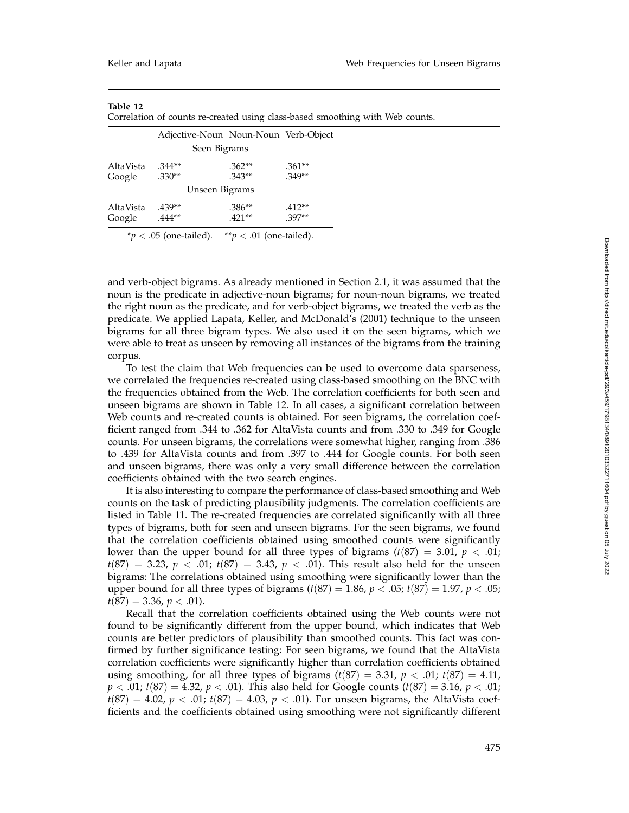|  |  | lable |  |
|--|--|-------|--|
|--|--|-------|--|

Correlation of counts re-created using class-based smoothing with Web counts.

|                     |                      | Adjective-Noun Noun-Noun Verb-Object |                      |  |  |  |  |  |  |
|---------------------|----------------------|--------------------------------------|----------------------|--|--|--|--|--|--|
| Seen Bigrams        |                      |                                      |                      |  |  |  |  |  |  |
| AltaVista<br>Google | $.344**$<br>$.330**$ | $.362**$<br>$.343**$                 | $.361**$<br>$.349**$ |  |  |  |  |  |  |
| Unseen Bigrams      |                      |                                      |                      |  |  |  |  |  |  |
| AltaVista<br>Google | $.439**$<br>$.444**$ | $.386**$<br>$.421**$                 | $.412**$<br>$.397**$ |  |  |  |  |  |  |

\**p* < .05 (one-tailed). \*\**p* < .01 (one-tailed).

and verb-object bigrams. As already mentioned in Section 2.1, it was assumed that the noun is the predicate in adjective-noun bigrams; for noun-noun bigrams, we treated the right noun as the predicate, and for verb-object bigrams, we treated the verb as the predicate. We applied Lapata, Keller, and McDonald's (2001) technique to the unseen bigrams for all three bigram types. We also used it on the seen bigrams, which we were able to treat as unseen by removing all instances of the bigrams from the training corpus.

To test the claim that Web frequencies can be used to overcome data sparseness, we correlated the frequencies re-created using class-based smoothing on the BNC with the frequencies obtained from the Web. The correlation coefficients for both seen and unseen bigrams are shown in Table 12. In all cases, a significant correlation between Web counts and re-created counts is obtained. For seen bigrams, the correlation coefficient ranged from .344 to .362 for AltaVista counts and from .330 to .349 for Google counts. For unseen bigrams, the correlations were somewhat higher, ranging from .386 to .439 for AltaVista counts and from .397 to .444 for Google counts. For both seen and unseen bigrams, there was only a very small difference between the correlation coefficients obtained with the two search engines.

It is also interesting to compare the performance of class-based smoothing and Web counts on the task of predicting plausibility judgments. The correlation coefficients are listed in Table 11. The re-created frequencies are correlated significantly with all three types of bigrams, both for seen and unseen bigrams. For the seen bigrams, we found that the correlation coefficients obtained using smoothed counts were significantly lower than the upper bound for all three types of bigrams  $(t(87) = 3.01, p < .01;$  $t(87) = 3.23, p < .01$ ;  $t(87) = 3.43, p < .01$ ). This result also held for the unseen bigrams: The correlations obtained using smoothing were significantly lower than the upper bound for all three types of bigrams  $(t(87) = 1.86, p < .05; t(87) = 1.97, p < .05;$  $t(87) = 3.36, p < .01$ ).

Recall that the correlation coefficients obtained using the Web counts were not found to be significantly different from the upper bound, which indicates that Web counts are better predictors of plausibility than smoothed counts. This fact was confirmed by further significance testing: For seen bigrams, we found that the AltaVista correlation coefficients were significantly higher than correlation coefficients obtained using smoothing, for all three types of bigrams  $(t(87) = 3.31, p < .01; t(87) = 4.11,$  $p < .01$ ;  $t(87) = 4.32$ ,  $p < .01$ ). This also held for Google counts ( $t(87) = 3.16$ ,  $p < .01$ ;  $t(87) = 4.02, p < .01$ ;  $t(87) = 4.03, p < .01$ ). For unseen bigrams, the AltaVista coefficients and the coefficients obtained using smoothing were not significantly different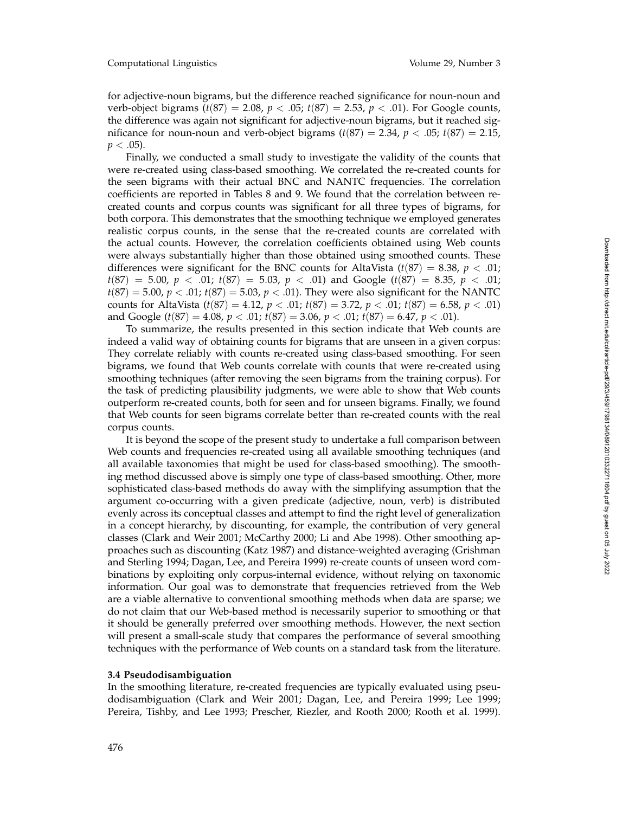for adjective-noun bigrams, but the difference reached significance for noun-noun and verb-object bigrams ( $t(87) = 2.08$ ,  $p < .05$ ;  $t(87) = 2.53$ ,  $p < .01$ ). For Google counts, the difference was again not significant for adjective-noun bigrams, but it reached significance for noun-noun and verb-object bigrams  $(t(87) = 2.34, p < .05; t(87) = 2.15,$  $p < .05$ ).

Finally, we conducted a small study to investigate the validity of the counts that were re-created using class-based smoothing. We correlated the re-created counts for the seen bigrams with their actual BNC and NANTC frequencies. The correlation coefficients are reported in Tables 8 and 9. We found that the correlation between recreated counts and corpus counts was significant for all three types of bigrams, for both corpora. This demonstrates that the smoothing technique we employed generates realistic corpus counts, in the sense that the re-created counts are correlated with the actual counts. However, the correlation coefficients obtained using Web counts were always substantially higher than those obtained using smoothed counts. These differences were significant for the BNC counts for AltaVista  $(t(87) = 8.38, p < .01;$  $t(87) = 5.00, p < .01; t(87) = 5.03, p < .01$  and Google  $(t(87) = 8.35, p < .01;$  $t(87) = 5.00, p < .01; t(87) = 5.03, p < .01$ . They were also significant for the NANTC counts for AltaVista ( $t(87) = 4.12$ ,  $p < .01$ ;  $t(87) = 3.72$ ,  $p < .01$ ;  $t(87) = 6.58$ ,  $p < .01$ ) and Google ( $t(87) = 4.08$ ,  $p < .01$ ;  $t(87) = 3.06$ ,  $p < .01$ ;  $t(87) = 6.47$ ,  $p < .01$ ).

To summarize, the results presented in this section indicate that Web counts are indeed a valid way of obtaining counts for bigrams that are unseen in a given corpus: They correlate reliably with counts re-created using class-based smoothing. For seen bigrams, we found that Web counts correlate with counts that were re-created using smoothing techniques (after removing the seen bigrams from the training corpus). For the task of predicting plausibility judgments, we were able to show that Web counts outperform re-created counts, both for seen and for unseen bigrams. Finally, we found that Web counts for seen bigrams correlate better than re-created counts with the real corpus counts.

It is beyond the scope of the present study to undertake a full comparison between Web counts and frequencies re-created using all available smoothing techniques (and all available taxonomies that might be used for class-based smoothing). The smoothing method discussed above is simply one type of class-based smoothing. Other, more sophisticated class-based methods do away with the simplifying assumption that the argument co-occurring with a given predicate (adjective, noun, verb) is distributed evenly across its conceptual classes and attempt to find the right level of generalization in a concept hierarchy, by discounting, for example, the contribution of very general classes (Clark and Weir 2001; McCarthy 2000; Li and Abe 1998). Other smoothing approaches such as discounting (Katz 1987) and distance-weighted averaging (Grishman and Sterling 1994; Dagan, Lee, and Pereira 1999) re-create counts of unseen word combinations by exploiting only corpus-internal evidence, without relying on taxonomic information. Our goal was to demonstrate that frequencies retrieved from the Web are a viable alternative to conventional smoothing methods when data are sparse; we do not claim that our Web-based method is necessarily superior to smoothing or that it should be generally preferred over smoothing methods. However, the next section will present a small-scale study that compares the performance of several smoothing techniques with the performance of Web counts on a standard task from the literature.

#### **3.4 Pseudodisambiguation**

In the smoothing literature, re-created frequencies are typically evaluated using pseudodisambiguation (Clark and Weir 2001; Dagan, Lee, and Pereira 1999; Lee 1999; Pereira, Tishby, and Lee 1993; Prescher, Riezler, and Rooth 2000; Rooth et al. 1999).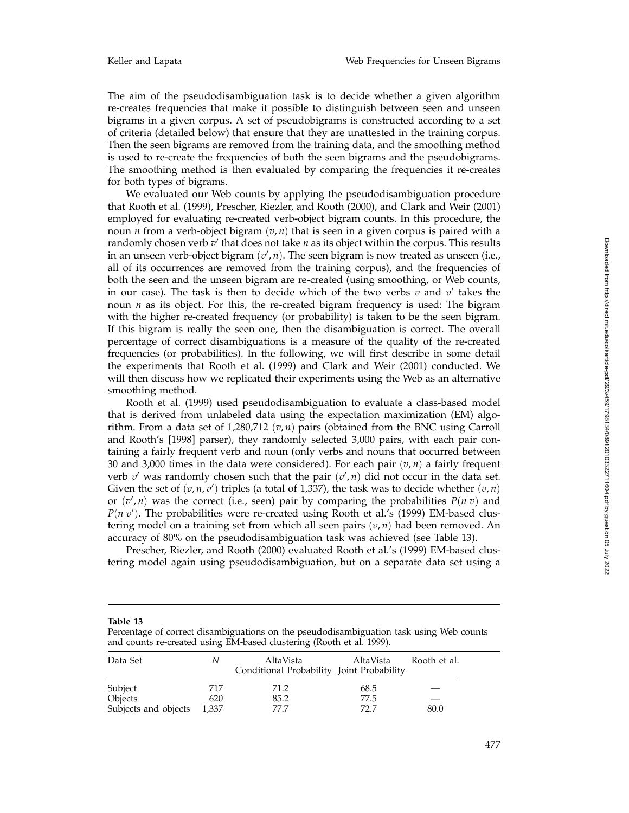The aim of the pseudodisambiguation task is to decide whether a given algorithm re-creates frequencies that make it possible to distinguish between seen and unseen bigrams in a given corpus. A set of pseudobigrams is constructed according to a set of criteria (detailed below) that ensure that they are unattested in the training corpus. Then the seen bigrams are removed from the training data, and the smoothing method is used to re-create the frequencies of both the seen bigrams and the pseudobigrams. The smoothing method is then evaluated by comparing the frequencies it re-creates for both types of bigrams.

We evaluated our Web counts by applying the pseudodisambiguation procedure that Rooth et al. (1999), Prescher, Riezler, and Rooth (2000), and Clark and Weir (2001) employed for evaluating re-created verb-object bigram counts. In this procedure, the noun *n* from a verb-object bigram (*v*, *n*) that is seen in a given corpus is paired with a randomly chosen verb *v'* that does not take *n* as its object within the corpus. This results in an unseen verb-object bigram (*v', n*). The seen bigram is now treated as unseen (i.e., all of its occurrences are removed from the training corpus), and the frequencies of both the seen and the unseen bigram are re-created (using smoothing, or Web counts, in our case). The task is then to decide which of the two verbs *v* and *v* takes the noun  $n$  as its object. For this, the re-created bigram frequency is used: The bigram with the higher re-created frequency (or probability) is taken to be the seen bigram. If this bigram is really the seen one, then the disambiguation is correct. The overall percentage of correct disambiguations is a measure of the quality of the re-created frequencies (or probabilities). In the following, we will first describe in some detail the experiments that Rooth et al. (1999) and Clark and Weir (2001) conducted. We will then discuss how we replicated their experiments using the Web as an alternative smoothing method.

Rooth et al. (1999) used pseudodisambiguation to evaluate a class-based model that is derived from unlabeled data using the expectation maximization (EM) algorithm. From a data set of 1,280,712  $(v, n)$  pairs (obtained from the BNC using Carroll and Rooth's [1998] parser), they randomly selected 3,000 pairs, with each pair containing a fairly frequent verb and noun (only verbs and nouns that occurred between 30 and 3,000 times in the data were considered). For each pair  $(v, n)$  a fairly frequent verb  $v'$  was randomly chosen such that the pair  $(v', n)$  did not occur in the data set. Given the set of  $(v, n, v')$  triples (a total of 1,337), the task was to decide whether  $(v, n)$ or  $(v', n)$  was the correct (i.e., seen) pair by comparing the probabilities  $P(n|v)$  and  $P(n|v')$ . The probabilities were re-created using Rooth et al.'s (1999) EM-based clustering model on a training set from which all seen pairs (*v*, *n*) had been removed. An accuracy of 80% on the pseudodisambiguation task was achieved (see Table 13).

Prescher, Riezler, and Rooth (2000) evaluated Rooth et al.'s (1999) EM-based clustering model again using pseudodisambiguation, but on a separate data set using a

**Table 13**

Percentage of correct disambiguations on the pseudodisambiguation task using Web counts and counts re-created using EM-based clustering (Rooth et al. 1999).

| Data Set             | N     | AltaVista<br>Conditional Probability Joint Probability | AltaVista | Rooth et al. |
|----------------------|-------|--------------------------------------------------------|-----------|--------------|
| Subject              | 717   | 71.2                                                   | 68.5      |              |
| Objects              | 620   | 85.2                                                   | 77.5      |              |
| Subjects and objects | 1,337 | 77 7                                                   | 72 7      | 80.0         |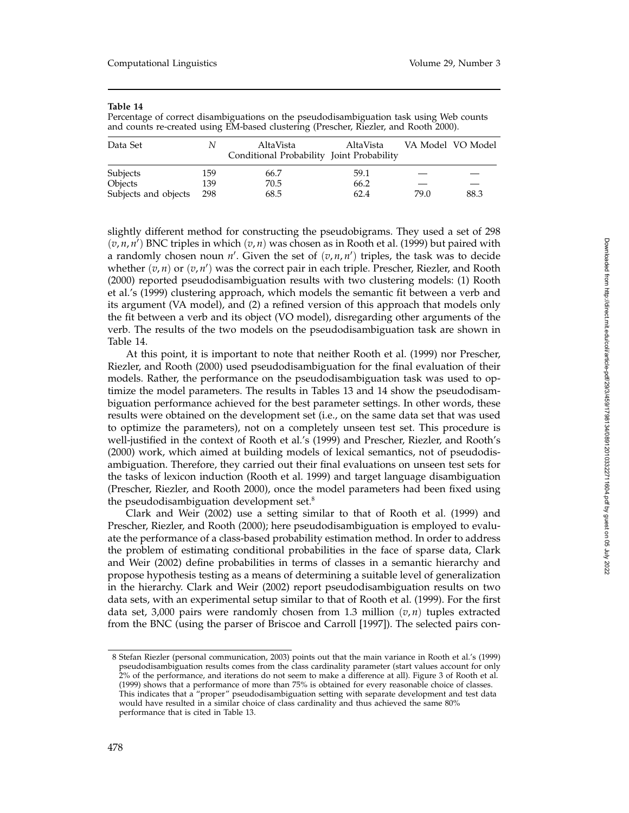Percentage of correct disambiguations on the pseudodisambiguation task using Web counts and counts re-created using EM-based clustering (Prescher, Riezler, and Rooth 2000).

| Data Set             |     | AltaVista<br>Conditional Probability Joint Probability | AltaVista |      | VA Model VO Model |
|----------------------|-----|--------------------------------------------------------|-----------|------|-------------------|
| Subjects             | 159 | 66.7                                                   | 59.1      |      |                   |
| Objects              | 139 | 70.5                                                   | 66.2      |      |                   |
| Subjects and objects | 298 | 68.5                                                   | 62.4      | 79.0 | 88.3              |

slightly different method for constructing the pseudobigrams. They used a set of 298 (*v*, *n*, *n* ) BNC triples in which (*v*, *n*) was chosen as in Rooth et al. (1999) but paired with a randomly chosen noun  $n'$ . Given the set of  $(v, n, n')$  triples, the task was to decide whether  $(v, n)$  or  $(v, n')$  was the correct pair in each triple. Prescher, Riezler, and Rooth (2000) reported pseudodisambiguation results with two clustering models: (1) Rooth et al.'s (1999) clustering approach, which models the semantic fit between a verb and its argument (VA model), and (2) a refined version of this approach that models only the fit between a verb and its object (VO model), disregarding other arguments of the verb. The results of the two models on the pseudodisambiguation task are shown in Table 14.

At this point, it is important to note that neither Rooth et al. (1999) nor Prescher, Riezler, and Rooth (2000) used pseudodisambiguation for the final evaluation of their models. Rather, the performance on the pseudodisambiguation task was used to optimize the model parameters. The results in Tables 13 and 14 show the pseudodisambiguation performance achieved for the best parameter settings. In other words, these results were obtained on the development set (i.e., on the same data set that was used to optimize the parameters), not on a completely unseen test set. This procedure is well-justified in the context of Rooth et al.'s (1999) and Prescher, Riezler, and Rooth's (2000) work, which aimed at building models of lexical semantics, not of pseudodisambiguation. Therefore, they carried out their final evaluations on unseen test sets for the tasks of lexicon induction (Rooth et al. 1999) and target language disambiguation (Prescher, Riezler, and Rooth 2000), once the model parameters had been fixed using the pseudodisambiguation development set.<sup>8</sup>

Clark and Weir (2002) use a setting similar to that of Rooth et al. (1999) and Prescher, Riezler, and Rooth (2000); here pseudodisambiguation is employed to evaluate the performance of a class-based probability estimation method. In order to address the problem of estimating conditional probabilities in the face of sparse data, Clark and Weir (2002) define probabilities in terms of classes in a semantic hierarchy and propose hypothesis testing as a means of determining a suitable level of generalization in the hierarchy. Clark and Weir (2002) report pseudodisambiguation results on two data sets, with an experimental setup similar to that of Rooth et al. (1999). For the first data set, 3,000 pairs were randomly chosen from 1.3 million  $(v, n)$  tuples extracted from the BNC (using the parser of Briscoe and Carroll [1997]). The selected pairs con-

<sup>8</sup> Stefan Riezler (personal communication, 2003) points out that the main variance in Rooth et al.'s (1999) pseudodisambiguation results comes from the class cardinality parameter (start values account for only 2% of the performance, and iterations do not seem to make a difference at all). Figure 3 of Rooth et al. (1999) shows that a performance of more than 75% is obtained for every reasonable choice of classes. This indicates that a "proper" pseudodisambiguation setting with separate development and test data would have resulted in a similar choice of class cardinality and thus achieved the same 80% performance that is cited in Table 13.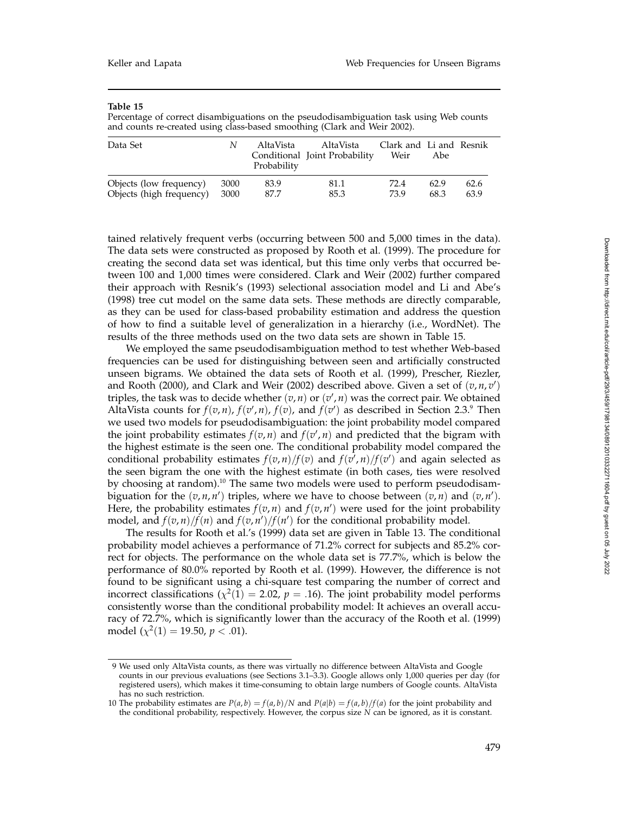Percentage of correct disambiguations on the pseudodisambiguation task using Web counts and counts re-created using class-based smoothing (Clark and Weir 2002).

| Data Set                 | N    | AltaVista<br>Probability | AltaVista<br>Conditional Joint Probability | Clark and Li and Resnik<br>Weir | Abe  |      |
|--------------------------|------|--------------------------|--------------------------------------------|---------------------------------|------|------|
| Objects (low frequency)  | 3000 | 83.9                     | 81.1                                       | 72.4                            | 62.9 | 62.6 |
| Objects (high frequency) | 3000 | 87.7                     | 85.3                                       | 73.9                            | 68.3 | 63.9 |

tained relatively frequent verbs (occurring between 500 and 5,000 times in the data). The data sets were constructed as proposed by Rooth et al. (1999). The procedure for creating the second data set was identical, but this time only verbs that occurred between 100 and 1,000 times were considered. Clark and Weir (2002) further compared their approach with Resnik's (1993) selectional association model and Li and Abe's (1998) tree cut model on the same data sets. These methods are directly comparable, as they can be used for class-based probability estimation and address the question of how to find a suitable level of generalization in a hierarchy (i.e., WordNet). The results of the three methods used on the two data sets are shown in Table 15.

We employed the same pseudodisambiguation method to test whether Web-based frequencies can be used for distinguishing between seen and artificially constructed unseen bigrams. We obtained the data sets of Rooth et al. (1999), Prescher, Riezler, and Rooth (2000), and Clark and Weir (2002) described above. Given a set of  $(v, n, v')$ triples, the task was to decide whether  $(v, n)$  or  $(v', n)$  was the correct pair. We obtained AltaVista counts for  $f(v, n)$ ,  $f(v', n)$ ,  $f(v)$ , and  $f(v')$  as described in Section 2.3.<sup>9</sup> Then we used two models for pseudodisambiguation: the joint probability model compared the joint probability estimates  $f(v, n)$  and  $f(v', n)$  and predicted that the bigram with the highest estimate is the seen one. The conditional probability model compared the conditional probability estimates  $f(v, n)/f(v)$  and  $f(v', n)/f(v')$  and again selected as the seen bigram the one with the highest estimate (in both cases, ties were resolved by choosing at random).<sup>10</sup> The same two models were used to perform pseudodisambiguation for the  $(v, n, n')$  triples, where we have to choose between  $(v, n)$  and  $(v, n')$ . Here, the probability estimates  $f(v, n)$  and  $f(v, n')$  were used for the joint probability model, and  $f(v, n)/f(n)$  and  $f(v, n')/f(n')$  for the conditional probability model.

The results for Rooth et al.'s (1999) data set are given in Table 13. The conditional probability model achieves a performance of 71.2% correct for subjects and 85.2% correct for objects. The performance on the whole data set is 77.7%, which is below the performance of 80.0% reported by Rooth et al. (1999). However, the difference is not found to be significant using a chi-square test comparing the number of correct and incorrect classifications ( $\chi^2(1) = 2.02$ ,  $p = .16$ ). The joint probability model performs consistently worse than the conditional probability model: It achieves an overall accuracy of 72.7%, which is significantly lower than the accuracy of the Rooth et al. (1999) model  $(\chi^2(1) = 19.50, p < .01)$ .

<sup>9</sup> We used only AltaVista counts, as there was virtually no difference between AltaVista and Google counts in our previous evaluations (see Sections 3.1–3.3). Google allows only 1,000 queries per day (for registered users), which makes it time-consuming to obtain large numbers of Google counts. AltaVista has no such restriction.

<sup>10</sup> The probability estimates are  $P(a, b) = f(a, b)/N$  and  $P(a|b) = f(a, b)/f(a)$  for the joint probability and the conditional probability, respectively. However, the corpus size *N* can be ignored, as it is constant.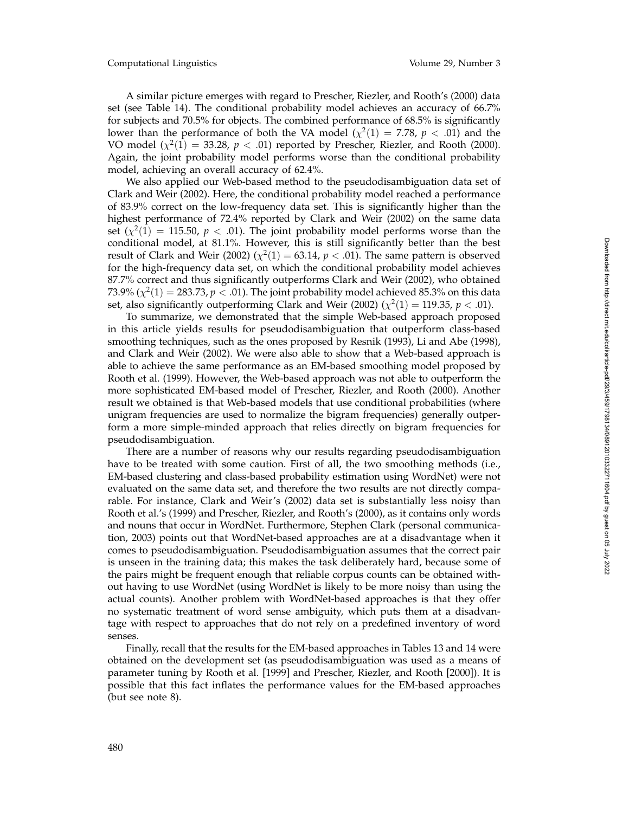A similar picture emerges with regard to Prescher, Riezler, and Rooth's (2000) data set (see Table 14). The conditional probability model achieves an accuracy of 66.7% for subjects and 70.5% for objects. The combined performance of 68.5% is significantly lower than the performance of both the VA model  $(\chi^2(1) = 7.78, p < .01)$  and the VO model  $(\chi^2(1) = 33.28, p < .01)$  reported by Prescher, Riezler, and Rooth (2000). Again, the joint probability model performs worse than the conditional probability model, achieving an overall accuracy of 62.4%.

We also applied our Web-based method to the pseudodisambiguation data set of Clark and Weir (2002). Here, the conditional probability model reached a performance of 83.9% correct on the low-frequency data set. This is significantly higher than the highest performance of 72.4% reported by Clark and Weir (2002) on the same data set  $(\chi^2(1) = 115.50, p < .01)$ . The joint probability model performs worse than the conditional model, at 81.1%. However, this is still significantly better than the best result of Clark and Weir (2002) ( $\chi^2(1) = 63.14$ ,  $p < .01$ ). The same pattern is observed for the high-frequency data set, on which the conditional probability model achieves 87.7% correct and thus significantly outperforms Clark and Weir (2002), who obtained 73.9% ( $\chi^2(1) = 283.73$ ,  $p < .01$ ). The joint probability model achieved 85.3% on this data set, also significantly outperforming Clark and Weir (2002) ( $\chi^2(1) = 119.35$ ,  $p < .01$ ).

To summarize, we demonstrated that the simple Web-based approach proposed in this article yields results for pseudodisambiguation that outperform class-based smoothing techniques, such as the ones proposed by Resnik (1993), Li and Abe (1998), and Clark and Weir (2002). We were also able to show that a Web-based approach is able to achieve the same performance as an EM-based smoothing model proposed by Rooth et al. (1999). However, the Web-based approach was not able to outperform the more sophisticated EM-based model of Prescher, Riezler, and Rooth (2000). Another result we obtained is that Web-based models that use conditional probabilities (where unigram frequencies are used to normalize the bigram frequencies) generally outperform a more simple-minded approach that relies directly on bigram frequencies for pseudodisambiguation.

There are a number of reasons why our results regarding pseudodisambiguation have to be treated with some caution. First of all, the two smoothing methods (i.e., EM-based clustering and class-based probability estimation using WordNet) were not evaluated on the same data set, and therefore the two results are not directly comparable. For instance, Clark and Weir's (2002) data set is substantially less noisy than Rooth et al.'s (1999) and Prescher, Riezler, and Rooth's (2000), as it contains only words and nouns that occur in WordNet. Furthermore, Stephen Clark (personal communication, 2003) points out that WordNet-based approaches are at a disadvantage when it comes to pseudodisambiguation. Pseudodisambiguation assumes that the correct pair is unseen in the training data; this makes the task deliberately hard, because some of the pairs might be frequent enough that reliable corpus counts can be obtained without having to use WordNet (using WordNet is likely to be more noisy than using the actual counts). Another problem with WordNet-based approaches is that they offer no systematic treatment of word sense ambiguity, which puts them at a disadvantage with respect to approaches that do not rely on a predefined inventory of word senses.

Finally, recall that the results for the EM-based approaches in Tables 13 and 14 were obtained on the development set (as pseudodisambiguation was used as a means of parameter tuning by Rooth et al. [1999] and Prescher, Riezler, and Rooth [2000]). It is possible that this fact inflates the performance values for the EM-based approaches (but see note 8).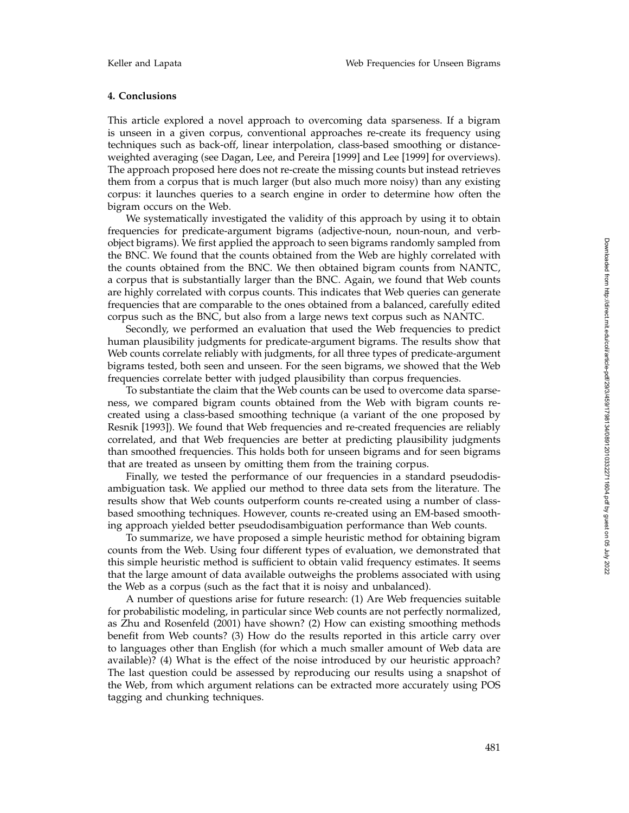# **4. Conclusions**

This article explored a novel approach to overcoming data sparseness. If a bigram is unseen in a given corpus, conventional approaches re-create its frequency using techniques such as back-off, linear interpolation, class-based smoothing or distanceweighted averaging (see Dagan, Lee, and Pereira [1999] and Lee [1999] for overviews). The approach proposed here does not re-create the missing counts but instead retrieves them from a corpus that is much larger (but also much more noisy) than any existing corpus: it launches queries to a search engine in order to determine how often the bigram occurs on the Web.

We systematically investigated the validity of this approach by using it to obtain frequencies for predicate-argument bigrams (adjective-noun, noun-noun, and verbobject bigrams). We first applied the approach to seen bigrams randomly sampled from the BNC. We found that the counts obtained from the Web are highly correlated with the counts obtained from the BNC. We then obtained bigram counts from NANTC, a corpus that is substantially larger than the BNC. Again, we found that Web counts are highly correlated with corpus counts. This indicates that Web queries can generate frequencies that are comparable to the ones obtained from a balanced, carefully edited corpus such as the BNC, but also from a large news text corpus such as NANTC.

Secondly, we performed an evaluation that used the Web frequencies to predict human plausibility judgments for predicate-argument bigrams. The results show that Web counts correlate reliably with judgments, for all three types of predicate-argument bigrams tested, both seen and unseen. For the seen bigrams, we showed that the Web frequencies correlate better with judged plausibility than corpus frequencies.

To substantiate the claim that the Web counts can be used to overcome data sparseness, we compared bigram counts obtained from the Web with bigram counts recreated using a class-based smoothing technique (a variant of the one proposed by Resnik [1993]). We found that Web frequencies and re-created frequencies are reliably correlated, and that Web frequencies are better at predicting plausibility judgments than smoothed frequencies. This holds both for unseen bigrams and for seen bigrams that are treated as unseen by omitting them from the training corpus.

Finally, we tested the performance of our frequencies in a standard pseudodisambiguation task. We applied our method to three data sets from the literature. The results show that Web counts outperform counts re-created using a number of classbased smoothing techniques. However, counts re-created using an EM-based smoothing approach yielded better pseudodisambiguation performance than Web counts.

To summarize, we have proposed a simple heuristic method for obtaining bigram counts from the Web. Using four different types of evaluation, we demonstrated that this simple heuristic method is sufficient to obtain valid frequency estimates. It seems that the large amount of data available outweighs the problems associated with using the Web as a corpus (such as the fact that it is noisy and unbalanced).

A number of questions arise for future research: (1) Are Web frequencies suitable for probabilistic modeling, in particular since Web counts are not perfectly normalized, as Zhu and Rosenfeld (2001) have shown? (2) How can existing smoothing methods benefit from Web counts? (3) How do the results reported in this article carry over to languages other than English (for which a much smaller amount of Web data are available)? (4) What is the effect of the noise introduced by our heuristic approach? The last question could be assessed by reproducing our results using a snapshot of the Web, from which argument relations can be extracted more accurately using POS tagging and chunking techniques.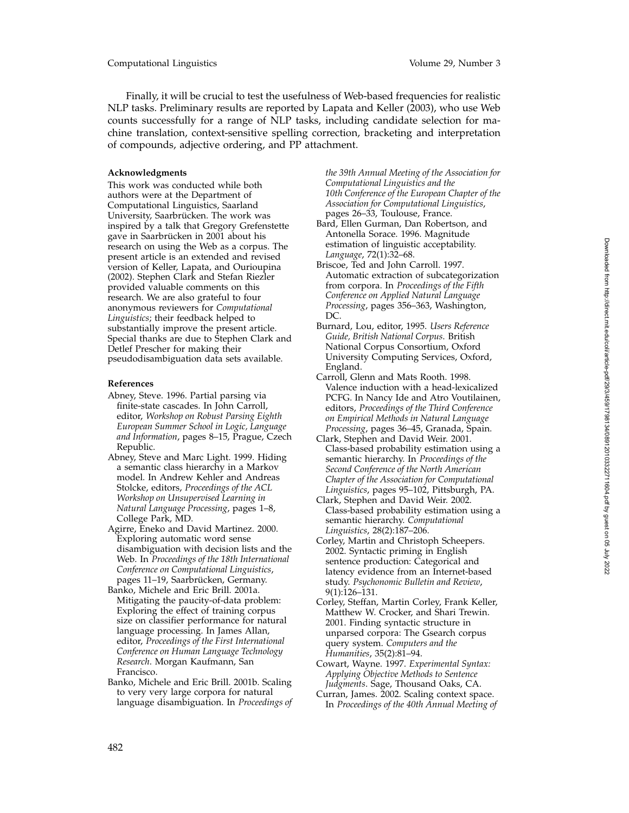Finally, it will be crucial to test the usefulness of Web-based frequencies for realistic NLP tasks. Preliminary results are reported by Lapata and Keller (2003), who use Web counts successfully for a range of NLP tasks, including candidate selection for machine translation, context-sensitive spelling correction, bracketing and interpretation of compounds, adjective ordering, and PP attachment.

#### **Acknowledgments**

This work was conducted while both authors were at the Department of Computational Linguistics, Saarland University, Saarbrücken. The work was inspired by a talk that Gregory Grefenstette gave in Saarbrücken in 2001 about his research on using the Web as a corpus. The present article is an extended and revised version of Keller, Lapata, and Ourioupina (2002). Stephen Clark and Stefan Riezler provided valuable comments on this research. We are also grateful to four anonymous reviewers for *Computational Linguistics*; their feedback helped to substantially improve the present article. Special thanks are due to Stephen Clark and Detlef Prescher for making their pseudodisambiguation data sets available.

#### **References**

- Abney, Steve. 1996. Partial parsing via finite-state cascades. In John Carroll, editor, *Workshop on Robust Parsing Eighth European Summer School in Logic, Language* and Information, pages 8–15, Prague, Czech Republic.
- Abney, Steve and Marc Light. 1999. Hiding a semantic class hierarchy in a Markov model. In Andrew Kehler and Andreas Stolcke, editors, *Proceedings of the ACL Workshop on Unsupervised Learning in Natural Language Processing*, pages 1–8, College Park, MD.
- Agirre, Eneko and David Martinez. 2000. Exploring automatic word sense disambiguation with decision lists and the Web. In *Proceedings of the 18th International Conference on Computational Linguistics* , pages 11–19, Saarbrücken, Germany.
- Banko, Michele and Eric Brill. 2001a. Mitigating the paucity-of-data problem: Exploring the effect of training corpus size on classifier performance for natural language processing. In James Allan, editor, *Proceedings of the First International Conference on Human Language Technology Research*. Morgan Kaufmann, San Francisco.
- Banko, Michele and Eric Brill. 2001b. Scaling to very very large corpora for natural language disambiguation. In *Proceedings of*

*the 39th Annual Meeting of the Association for Computational Linguistics and the 10th Conference of the European Chapter of the Association for Computational Linguistics* , pages 26–33, Toulouse, France.

- Bard, Ellen Gurman, Dan Robertson, and Antonella Sorace. 1996. Magnitude estimation of linguistic acceptability. *Language*, 72(1):32–68.
- Briscoe, Ted and John Carroll. 1997. Automatic extraction of subcategorization from corpora. In *Proceedings of the Fifth Conference on Applied Natural Language Processing*, pages 356–363, Washington, DC.
- Burnard, Lou, editor, 1995. *Users Reference Guide, British National Corpus*. British National Corpus Consortium, Oxford University Computing Services, Oxford, England.
- Carroll, Glenn and Mats Rooth. 1998. Valence induction with a head-lexicalized PCFG. In Nancy Ide and Atro Voutilainen, editors, *Proceedings of the Third Conference on Empirical Methods in Natural Language Processing*, pages 36–45, Granada, Spain.
- Clark, Stephen and David Weir. 2001. Class-based probability estimation using a semantic hierarchy. In *Proceedings of the Second Conference of the North American Chapter of the Association for Computational Linguistics*, pages 95–102, Pittsburgh, PA.
- Clark, Stephen and David Weir. 2002. Class-based probability estimation using a semantic hierarchy. *Computational Linguistics*, 28(2):187–206.
- Corley, Martin and Christoph Scheepers. 2002. Syntactic priming in English sentence production: Categorical and latency evidence from an Internet-based study. *Psychonomic Bulletin and Review* , 9(1):126–131.
- Corley, Steffan, Martin Corley, Frank Keller, Matthew W. Crocker, and Shari Trewin. 2001. Finding syntactic structure in unparsed corpora: The Gsearch corpus query system. *Computers and the Humanities*, 35(2):81–94.
- Cowart, Wayne. 1997. *Experimental Syntax: Applying Objective Methods to Sentence Judgments*. Sage, Thousand Oaks, CA.
- Curran, James. 2002. Scaling context space. In *Proceedings of the 40th Annual Meeting of*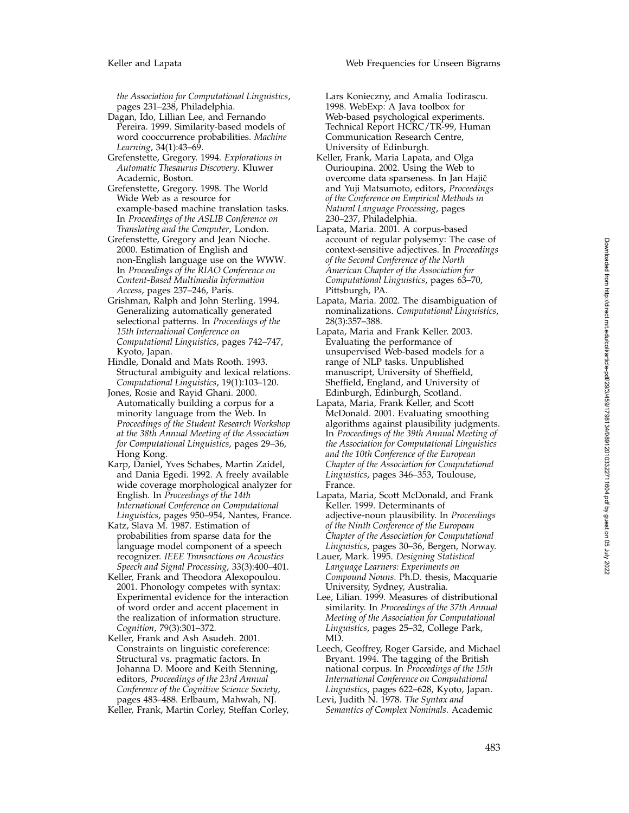*the Association for Computational Linguistics* , pages 231–238, Philadelphia.

- Dagan, Ido, Lillian Lee, and Fernando Pereira. 1999. Similarity-based models of word cooccurrence probabilities. *Machine Learning*, 34(1):43–69.
- Grefenstette, Gregory. 1994. *Explorations in Automatic Thesaurus Discovery*. Kluwer Academic, Boston.
- Grefenstette, Gregory. 1998. The World Wide Web as a resource for example-based machine translation tasks. In *Proceedings of the ASLIB Conference on Translating and the Computer*, London.

Grefenstette, Gregory and Jean Nioche. 2000. Estimation of English and non-English language use on the WWW. In *Proceedings of the RIAO Conference on Content-Based Multimedia Information Access*, pages 237–246, Paris.

- Grishman, Ralph and John Sterling. 1994. Generalizing automatically generated selectional patterns. In *Proceedings of the 15th International Conference on Computational Linguistics*, pages 742–747, Kyoto, Japan.
- Hindle, Donald and Mats Rooth. 1993. Structural ambiguity and lexical relations. *Computational Linguistics*, 19(1):103–120.
- Jones, Rosie and Rayid Ghani. 2000. Automatically building a corpus for a minority language from the Web. In *Proceedings of the Student Research Workshop at the 38th Annual Meeting of the Association for Computational Linguistics*, pages 29–36, Hong Kong.
- Karp, Daniel, Yves Schabes, Martin Zaidel, and Dania Egedi. 1992. A freely available wide coverage morphological analyzer for English. In *Proceedings of the 14th International Conference on Computational Linguistics*, pages 950–954, Nantes, France.
- Katz, Slava M. 1987. Estimation of probabilities from sparse data for the language model component of a speech recognizer. *IEEE Transactions on Acoustics Speech and Signal Processing*, 33(3):400–401.
- Keller, Frank and Theodora Alexopoulou. 2001. Phonology competes with syntax: Experimental evidence for the interaction of word order and accent placement in the realization of information structure. *Cognition*, 79(3):301–372.
- Keller, Frank and Ash Asudeh. 2001. Constraints on linguistic coreference: Structural vs. pragmatic factors. In Johanna D. Moore and Keith Stenning, editors, *Proceedings of the 23rd Annual Conference of the Cognitive Science Society* , pages 483–488. Erlbaum, Mahwah, NJ.
- Keller, Frank, Martin Corley, Steffan Corley,

Lars Konieczny, and Amalia Todirascu. 1998. WebExp: A Java toolbox for Web-based psychological experiments. Technical Report HCRC/TR-99, Human Communication Research Centre, University of Edinburgh.

- Keller, Frank, Maria Lapata, and Olga Ourioupina. 2002. Using the Web to overcome data sparseness. In Jan Hajiˇc and Yuji Matsumoto, editors, *Proceedings of the Conference on Empirical Methods in Natural Language Processing*, pages 230–237, Philadelphia.
- Lapata, Maria. 2001. A corpus-based account of regular polysemy: The case of context-sensitive adjectives. In *Proceedings of the Second Conference of the North American Chapter of the Association for Computational Linguistics*, pages 63–70, Pittsburgh, PA.
- Lapata, Maria. 2002. The disambiguation of nominalizations. *Computational Linguistics* , 28(3):357–388.
- Lapata, Maria and Frank Keller. 2003. Evaluating the performance of unsupervised Web-based models for a range of NLP tasks. Unpublished manuscript, University of Sheffield, Sheffield, England, and University of Edinburgh, Edinburgh, Scotland.
- Lapata, Maria, Frank Keller, and Scott McDonald. 2001. Evaluating smoothing algorithms against plausibility judgments. In *Proceedings of the 39th Annual Meeting of the Association for Computational Linguistics and the 10th Conference of the European Chapter of the Association for Computational Linguistics*, pages 346–353, Toulouse, France.
- Lapata, Maria, Scott McDonald, and Frank Keller. 1999. Determinants of adjective-noun plausibility. In *Proceedings of the Ninth Conference of the European Chapter of the Association for Computational Linguistics*, pages 30–36, Bergen, Norway.
- Lauer, Mark. 1995. *Designing Statistical Language Learners: Experiments on Compound Nouns*. Ph.D. thesis, Macquarie University, Sydney, Australia.
- Lee, Lilian. 1999. Measures of distributional similarity. In *Proceedings of the 37th Annual Meeting of the Association for Computational Linguistics*, pages 25–32, College Park, MD.
- Leech, Geoffrey, Roger Garside, and Michael Bryant. 1994. The tagging of the British national corpus. In *Proceedings of the 15th International Conference on Computational Linguistics*, pages 622–628, Kyoto, Japan.
- Levi, Judith N. 1978. *The Syntax and Semantics of Complex Nominals*. Academic